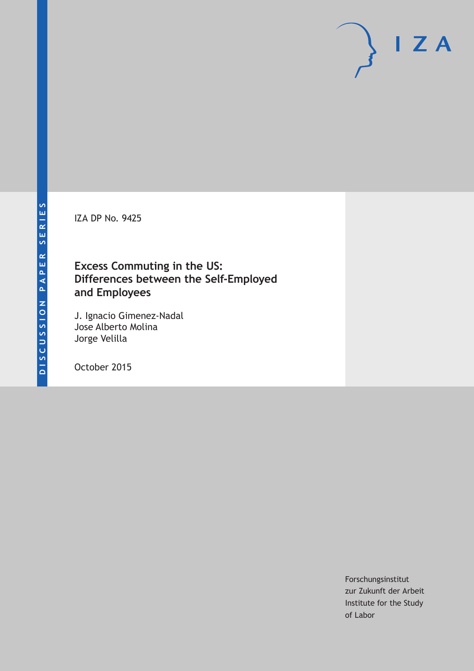IZA DP No. 9425

### **Excess Commuting in the US: Differences between the Self-Employed and Employees**

J. Ignacio Gimenez-Nadal Jose Alberto Molina Jorge Velilla

October 2015

Forschungsinstitut zur Zukunft der Arbeit Institute for the Study of Labor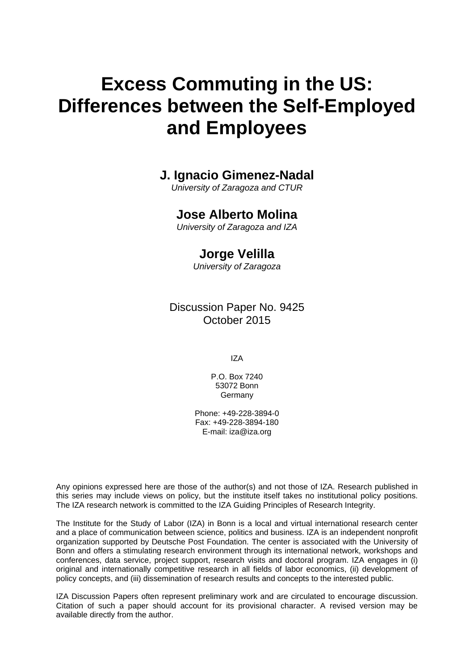# **Excess Commuting in the US: Differences between the Self-Employed and Employees**

### **J. Ignacio Gimenez-Nadal**

*University of Zaragoza and CTUR* 

### **Jose Alberto Molina**

*University of Zaragoza and IZA* 

### **Jorge Velilla**

*University of Zaragoza*

Discussion Paper No. 9425 October 2015

IZA

P.O. Box 7240 53072 Bonn Germany

Phone: +49-228-3894-0 Fax: +49-228-3894-180 E-mail: iza@iza.org

Any opinions expressed here are those of the author(s) and not those of IZA. Research published in this series may include views on policy, but the institute itself takes no institutional policy positions. The IZA research network is committed to the IZA Guiding Principles of Research Integrity.

The Institute for the Study of Labor (IZA) in Bonn is a local and virtual international research center and a place of communication between science, politics and business. IZA is an independent nonprofit organization supported by Deutsche Post Foundation. The center is associated with the University of Bonn and offers a stimulating research environment through its international network, workshops and conferences, data service, project support, research visits and doctoral program. IZA engages in (i) original and internationally competitive research in all fields of labor economics, (ii) development of policy concepts, and (iii) dissemination of research results and concepts to the interested public.

IZA Discussion Papers often represent preliminary work and are circulated to encourage discussion. Citation of such a paper should account for its provisional character. A revised version may be available directly from the author.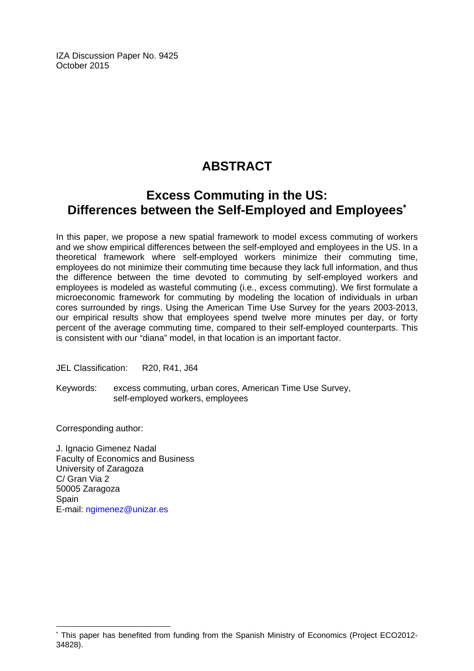IZA Discussion Paper No. 9425 October 2015

# **ABSTRACT**

## **Excess Commuting in the US: Differences between the Self-Employed and Employees\***

In this paper, we propose a new spatial framework to model excess commuting of workers and we show empirical differences between the self-employed and employees in the US. In a theoretical framework where self-employed workers minimize their commuting time, employees do not minimize their commuting time because they lack full information, and thus the difference between the time devoted to commuting by self-employed workers and employees is modeled as wasteful commuting (i.e., excess commuting). We first formulate a microeconomic framework for commuting by modeling the location of individuals in urban cores surrounded by rings. Using the American Time Use Survey for the years 2003-2013, our empirical results show that employees spend twelve more minutes per day, or forty percent of the average commuting time, compared to their self-employed counterparts. This is consistent with our "diana" model, in that location is an important factor.

JEL Classification: R20, R41, J64

Keywords: excess commuting, urban cores, American Time Use Survey, self-employed workers, employees

Corresponding author:

 $\overline{\phantom{a}}$ 

J. Ignacio Gimenez Nadal Faculty of Economics and Business University of Zaragoza C/ Gran Via 2 50005 Zaragoza **Spain** E-mail: ngimenez@unizar.es

<sup>\*</sup> This paper has benefited from funding from the Spanish Ministry of Economics (Project ECO2012- 34828).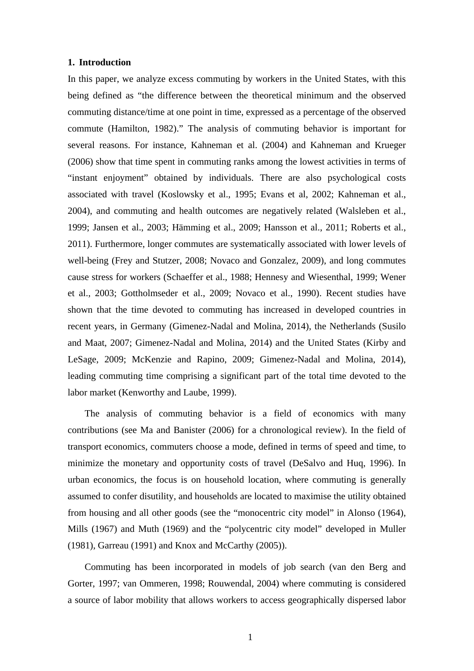#### **1. Introduction**

In this paper, we analyze excess commuting by workers in the United States, with this being defined as "the difference between the theoretical minimum and the observed commuting distance/time at one point in time, expressed as a percentage of the observed commute (Hamilton, 1982)." The analysis of commuting behavior is important for several reasons. For instance, Kahneman et al. (2004) and Kahneman and Krueger (2006) show that time spent in commuting ranks among the lowest activities in terms of "instant enjoyment" obtained by individuals. There are also psychological costs associated with travel (Koslowsky et al., 1995; Evans et al, 2002; Kahneman et al., 2004), and commuting and health outcomes are negatively related (Walsleben et al., 1999; Jansen et al., 2003; Hämming et al., 2009; Hansson et al., 2011; Roberts et al., 2011). Furthermore, longer commutes are systematically associated with lower levels of well-being (Frey and Stutzer, 2008; Novaco and Gonzalez, 2009), and long commutes cause stress for workers (Schaeffer et al., 1988; Hennesy and Wiesenthal, 1999; Wener et al., 2003; Gottholmseder et al., 2009; Novaco et al., 1990). Recent studies have shown that the time devoted to commuting has increased in developed countries in recent years, in Germany (Gimenez-Nadal and Molina, 2014), the Netherlands (Susilo and Maat, 2007; Gimenez-Nadal and Molina, 2014) and the United States (Kirby and LeSage, 2009; McKenzie and Rapino, 2009; Gimenez-Nadal and Molina, 2014), leading commuting time comprising a significant part of the total time devoted to the labor market (Kenworthy and Laube, 1999).

The analysis of commuting behavior is a field of economics with many contributions (see Ma and Banister (2006) for a chronological review). In the field of transport economics, commuters choose a mode, defined in terms of speed and time, to minimize the monetary and opportunity costs of travel (DeSalvo and Huq, 1996). In urban economics, the focus is on household location, where commuting is generally assumed to confer disutility, and households are located to maximise the utility obtained from housing and all other goods (see the "monocentric city model" in Alonso (1964), Mills (1967) and Muth (1969) and the "polycentric city model" developed in Muller (1981), Garreau (1991) and Knox and McCarthy (2005)).

Commuting has been incorporated in models of job search (van den Berg and Gorter, 1997; van Ommeren, 1998; Rouwendal, 2004) where commuting is considered a source of labor mobility that allows workers to access geographically dispersed labor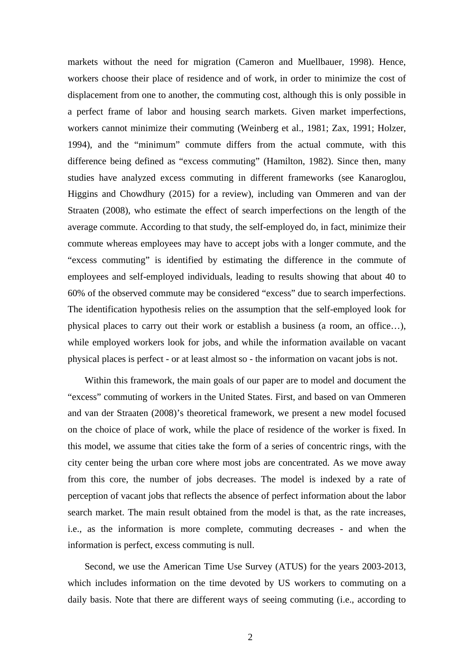markets without the need for migration (Cameron and Muellbauer, 1998). Hence, workers choose their place of residence and of work, in order to minimize the cost of displacement from one to another, the commuting cost, although this is only possible in a perfect frame of labor and housing search markets. Given market imperfections, workers cannot minimize their commuting (Weinberg et al., 1981; Zax, 1991; Holzer, 1994), and the "minimum" commute differs from the actual commute, with this difference being defined as "excess commuting" (Hamilton, 1982). Since then, many studies have analyzed excess commuting in different frameworks (see Kanaroglou, Higgins and Chowdhury (2015) for a review), including van Ommeren and van der Straaten (2008), who estimate the effect of search imperfections on the length of the average commute. According to that study, the self-employed do, in fact, minimize their commute whereas employees may have to accept jobs with a longer commute, and the "excess commuting" is identified by estimating the difference in the commute of employees and self-employed individuals, leading to results showing that about 40 to 60% of the observed commute may be considered "excess" due to search imperfections. The identification hypothesis relies on the assumption that the self-employed look for physical places to carry out their work or establish a business (a room, an office…), while employed workers look for jobs, and while the information available on vacant physical places is perfect - or at least almost so - the information on vacant jobs is not.

Within this framework, the main goals of our paper are to model and document the "excess" commuting of workers in the United States. First, and based on van Ommeren and van der Straaten (2008)'s theoretical framework, we present a new model focused on the choice of place of work, while the place of residence of the worker is fixed. In this model, we assume that cities take the form of a series of concentric rings, with the city center being the urban core where most jobs are concentrated. As we move away from this core, the number of jobs decreases. The model is indexed by a rate of perception of vacant jobs that reflects the absence of perfect information about the labor search market. The main result obtained from the model is that, as the rate increases, i.e., as the information is more complete, commuting decreases - and when the information is perfect, excess commuting is null.

Second, we use the American Time Use Survey (ATUS) for the years 2003-2013, which includes information on the time devoted by US workers to commuting on a daily basis. Note that there are different ways of seeing commuting (i.e., according to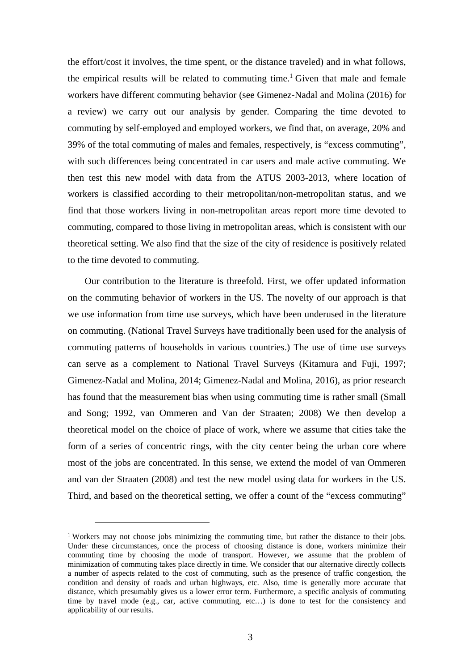the effort/cost it involves, the time spent, or the distance traveled) and in what follows, the empirical results will be related to commuting time.<sup>1</sup> Given that male and female workers have different commuting behavior (see Gimenez-Nadal and Molina (2016) for a review) we carry out our analysis by gender. Comparing the time devoted to commuting by self-employed and employed workers, we find that, on average, 20% and 39% of the total commuting of males and females, respectively, is "excess commuting", with such differences being concentrated in car users and male active commuting. We then test this new model with data from the ATUS 2003-2013, where location of workers is classified according to their metropolitan/non-metropolitan status, and we find that those workers living in non-metropolitan areas report more time devoted to commuting, compared to those living in metropolitan areas, which is consistent with our theoretical setting. We also find that the size of the city of residence is positively related to the time devoted to commuting.

Our contribution to the literature is threefold. First, we offer updated information on the commuting behavior of workers in the US. The novelty of our approach is that we use information from time use surveys, which have been underused in the literature on commuting. (National Travel Surveys have traditionally been used for the analysis of commuting patterns of households in various countries.) The use of time use surveys can serve as a complement to National Travel Surveys (Kitamura and Fuji, 1997; Gimenez-Nadal and Molina, 2014; Gimenez-Nadal and Molina, 2016), as prior research has found that the measurement bias when using commuting time is rather small (Small and Song; 1992, van Ommeren and Van der Straaten; 2008) We then develop a theoretical model on the choice of place of work, where we assume that cities take the form of a series of concentric rings, with the city center being the urban core where most of the jobs are concentrated. In this sense, we extend the model of van Ommeren and van der Straaten (2008) and test the new model using data for workers in the US. Third, and based on the theoretical setting, we offer a count of the "excess commuting"

 $\overline{a}$ 

<sup>&</sup>lt;sup>1</sup> Workers may not choose jobs minimizing the commuting time, but rather the distance to their jobs. Under these circumstances, once the process of choosing distance is done, workers minimize their commuting time by choosing the mode of transport. However, we assume that the problem of minimization of commuting takes place directly in time. We consider that our alternative directly collects a number of aspects related to the cost of commuting, such as the presence of traffic congestion, the condition and density of roads and urban highways, etc. Also, time is generally more accurate that distance, which presumably gives us a lower error term. Furthermore, a specific analysis of commuting time by travel mode (e.g., car, active commuting, etc…) is done to test for the consistency and applicability of our results.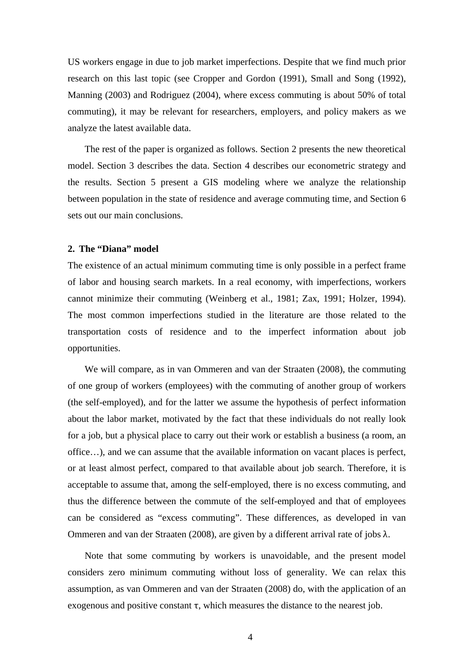US workers engage in due to job market imperfections. Despite that we find much prior research on this last topic (see Cropper and Gordon (1991), Small and Song (1992), Manning (2003) and Rodriguez (2004), where excess commuting is about 50% of total commuting), it may be relevant for researchers, employers, and policy makers as we analyze the latest available data.

The rest of the paper is organized as follows. Section 2 presents the new theoretical model. Section 3 describes the data. Section 4 describes our econometric strategy and the results. Section 5 present a GIS modeling where we analyze the relationship between population in the state of residence and average commuting time, and Section 6 sets out our main conclusions.

#### **2. The "Diana" model**

The existence of an actual minimum commuting time is only possible in a perfect frame of labor and housing search markets. In a real economy, with imperfections, workers cannot minimize their commuting (Weinberg et al., 1981; Zax, 1991; Holzer, 1994). The most common imperfections studied in the literature are those related to the transportation costs of residence and to the imperfect information about job opportunities.

We will compare, as in van Ommeren and van der Straaten (2008), the commuting of one group of workers (employees) with the commuting of another group of workers (the self-employed), and for the latter we assume the hypothesis of perfect information about the labor market, motivated by the fact that these individuals do not really look for a job, but a physical place to carry out their work or establish a business (a room, an office…), and we can assume that the available information on vacant places is perfect, or at least almost perfect, compared to that available about job search. Therefore, it is acceptable to assume that, among the self-employed, there is no excess commuting, and thus the difference between the commute of the self-employed and that of employees can be considered as "excess commuting". These differences, as developed in van Ommeren and van der Straaten (2008), are given by a different arrival rate of jobs λ.

Note that some commuting by workers is unavoidable, and the present model considers zero minimum commuting without loss of generality. We can relax this assumption, as van Ommeren and van der Straaten (2008) do, with the application of an exogenous and positive constant  $\tau$ , which measures the distance to the nearest job.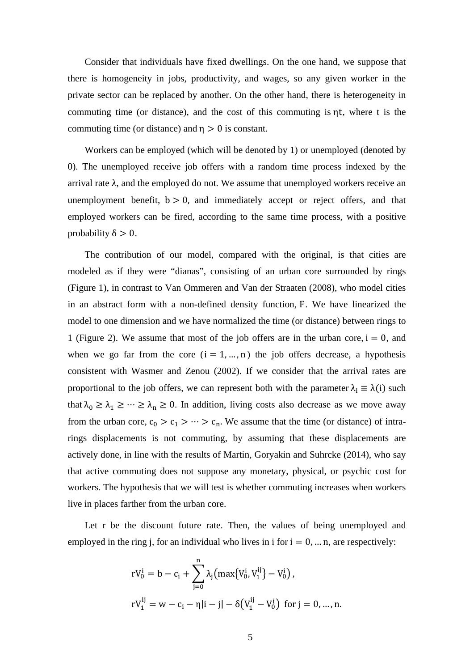Consider that individuals have fixed dwellings. On the one hand, we suppose that there is homogeneity in jobs, productivity, and wages, so any given worker in the private sector can be replaced by another. On the other hand, there is heterogeneity in commuting time (or distance), and the cost of this commuting is ηt, where t is the commuting time (or distance) and  $\eta > 0$  is constant.

Workers can be employed (which will be denoted by 1) or unemployed (denoted by 0). The unemployed receive job offers with a random time process indexed by the arrival rate  $λ$ , and the employed do not. We assume that unemployed workers receive an unemployment benefit,  $b > 0$ , and immediately accept or reject offers, and that employed workers can be fired, according to the same time process, with a positive probability  $\delta > 0$ .

The contribution of our model, compared with the original, is that cities are modeled as if they were "dianas", consisting of an urban core surrounded by rings (Figure 1), in contrast to Van Ommeren and Van der Straaten (2008), who model cities in an abstract form with a non-defined density function, F. We have linearized the model to one dimension and we have normalized the time (or distance) between rings to 1 (Figure 2). We assume that most of the job offers are in the urban core,  $i = 0$ , and when we go far from the core  $(i = 1, ..., n)$  the job offers decrease, a hypothesis consistent with Wasmer and Zenou (2002). If we consider that the arrival rates are proportional to the job offers, we can represent both with the parameter  $\lambda_i \equiv \lambda(i)$  such that  $\lambda_0 \geq \lambda_1 \geq \cdots \geq \lambda_n \geq 0$ . In addition, living costs also decrease as we move away from the urban core,  $c_0 > c_1 > \cdots > c_n$ . We assume that the time (or distance) of intrarings displacements is not commuting, by assuming that these displacements are actively done, in line with the results of Martin, Goryakin and Suhrcke (2014), who say that active commuting does not suppose any monetary, physical, or psychic cost for workers. The hypothesis that we will test is whether commuting increases when workers live in places farther from the urban core.

Let r be the discount future rate. Then, the values of being unemployed and employed in the ring j, for an individual who lives in i for  $i = 0, \dots n$ , are respectively:

$$
\begin{aligned} rV_0^i &= b - c_i + \sum_{j=0}^n \lambda_j \bigl( \max \{ V_0^i, V_1^{ij} \} - V_0^i \bigr) \,, \\ rV_1^{ij} &= w - c_i - \eta |i - j| - \delta \bigl( V_1^{ij} - V_0^i \bigr) \, \text{ for } j = 0, \dots, n. \end{aligned}
$$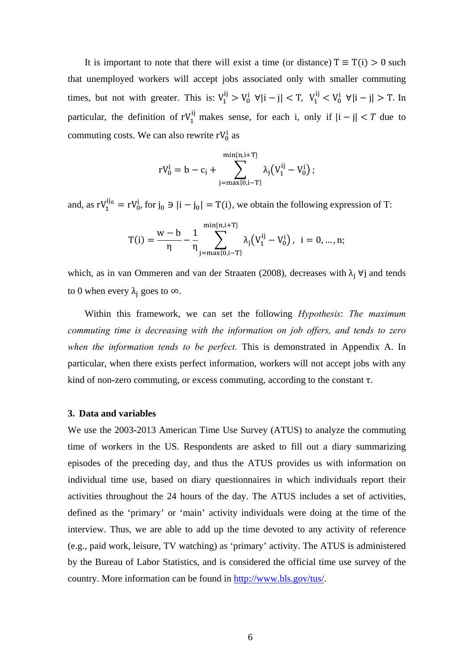It is important to note that there will exist a time (or distance)  $T \equiv T(i) > 0$  such that unemployed workers will accept jobs associated only with smaller commuting times, but not with greater. This is:  $V_1^{ij} > V_0^i \forall |i - j| < T$ ,  $V_1^{ij} < V_0^i \forall |i - j| > T$ . In particular, the definition of  $rV_1^{ij}$  makes sense, for each i, only if  $|i - j| < T$  due to commuting costs. We can also rewrite  $rV_0^i$  as

$$
rV_0^i = b - c_i + \sum_{j=max\{0,i-T\}}^{min\{n,i+T\}} \lambda_j \big( V_1^{ij} - V_0^i \big) \, ;
$$

and, as  $rV_1^{ij_0} = rV_0^i$ , for  $j_0 \ni |i - j_0| = T(i)$ , we obtain the following expression of T:

$$
T(i) = \frac{w-b}{\eta} - \frac{1}{\eta} \sum_{j=max\{0,i-T\}}^{min\{n,i+T\}} \lambda_j \big( V_1^{ij} - V_0^i \big) \text{, } \text{ } i=0,...,n; \\
$$

which, as in van Ommeren and van der Straaten (2008), decreases with  $\lambda_i$   $\forall j$  and tends to 0 when every  $\lambda_i$  goes to  $\infty$ .

Within this framework, we can set the following *Hypothesis*: *The maximum commuting time is decreasing with the information on job offers, and tends to zero when the information tends to be perfect.* This is demonstrated in Appendix A. In particular, when there exists perfect information, workers will not accept jobs with any kind of non-zero commuting, or excess commuting, according to the constant  $\tau$ .

#### **3. Data and variables**

We use the 2003-2013 American Time Use Survey (ATUS) to analyze the commuting time of workers in the US. Respondents are asked to fill out a diary summarizing episodes of the preceding day, and thus the ATUS provides us with information on individual time use, based on diary questionnaires in which individuals report their activities throughout the 24 hours of the day. The ATUS includes a set of activities, defined as the 'primary' or 'main' activity individuals were doing at the time of the interview. Thus, we are able to add up the time devoted to any activity of reference (e.g., paid work, leisure, TV watching) as 'primary' activity. The ATUS is administered by the Bureau of Labor Statistics, and is considered the official time use survey of the country. More information can be found in http://www.bls.gov/tus/.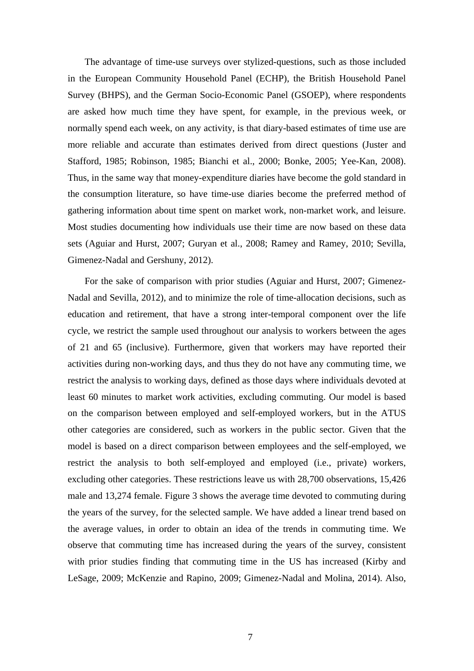The advantage of time-use surveys over stylized-questions, such as those included in the European Community Household Panel (ECHP), the British Household Panel Survey (BHPS), and the German Socio-Economic Panel (GSOEP), where respondents are asked how much time they have spent, for example, in the previous week, or normally spend each week, on any activity, is that diary-based estimates of time use are more reliable and accurate than estimates derived from direct questions (Juster and Stafford, 1985; Robinson, 1985; Bianchi et al., 2000; Bonke, 2005; Yee-Kan, 2008). Thus, in the same way that money-expenditure diaries have become the gold standard in the consumption literature, so have time-use diaries become the preferred method of gathering information about time spent on market work, non-market work, and leisure. Most studies documenting how individuals use their time are now based on these data sets (Aguiar and Hurst, 2007; Guryan et al., 2008; Ramey and Ramey, 2010; Sevilla, Gimenez-Nadal and Gershuny, 2012).

For the sake of comparison with prior studies (Aguiar and Hurst, 2007; Gimenez-Nadal and Sevilla, 2012), and to minimize the role of time-allocation decisions, such as education and retirement, that have a strong inter-temporal component over the life cycle, we restrict the sample used throughout our analysis to workers between the ages of 21 and 65 (inclusive). Furthermore, given that workers may have reported their activities during non-working days, and thus they do not have any commuting time, we restrict the analysis to working days, defined as those days where individuals devoted at least 60 minutes to market work activities, excluding commuting. Our model is based on the comparison between employed and self-employed workers, but in the ATUS other categories are considered, such as workers in the public sector. Given that the model is based on a direct comparison between employees and the self-employed, we restrict the analysis to both self-employed and employed (i.e., private) workers, excluding other categories. These restrictions leave us with 28,700 observations, 15,426 male and 13,274 female. Figure 3 shows the average time devoted to commuting during the years of the survey, for the selected sample. We have added a linear trend based on the average values, in order to obtain an idea of the trends in commuting time. We observe that commuting time has increased during the years of the survey, consistent with prior studies finding that commuting time in the US has increased (Kirby and LeSage, 2009; McKenzie and Rapino, 2009; Gimenez-Nadal and Molina, 2014). Also,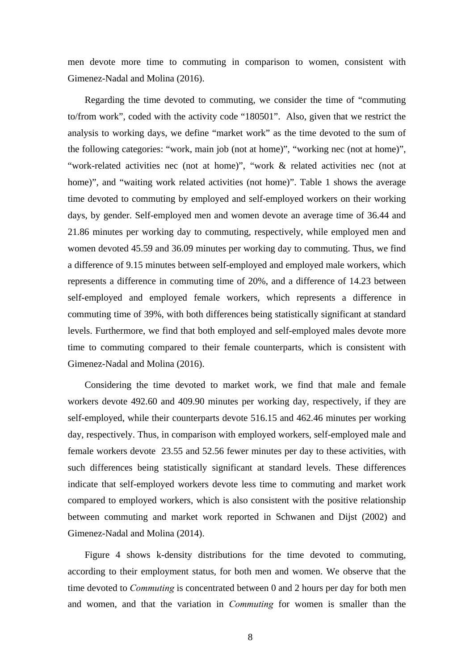men devote more time to commuting in comparison to women, consistent with Gimenez-Nadal and Molina (2016).

Regarding the time devoted to commuting, we consider the time of "commuting to/from work", coded with the activity code "180501". Also, given that we restrict the analysis to working days, we define "market work" as the time devoted to the sum of the following categories: "work, main job (not at home)", "working nec (not at home)", "work-related activities nec (not at home)", "work & related activities nec (not at home)", and "waiting work related activities (not home)". Table 1 shows the average time devoted to commuting by employed and self-employed workers on their working days, by gender. Self-employed men and women devote an average time of 36.44 and 21.86 minutes per working day to commuting, respectively, while employed men and women devoted 45.59 and 36.09 minutes per working day to commuting. Thus, we find a difference of 9.15 minutes between self-employed and employed male workers, which represents a difference in commuting time of 20%, and a difference of 14.23 between self-employed and employed female workers, which represents a difference in commuting time of 39%, with both differences being statistically significant at standard levels. Furthermore, we find that both employed and self-employed males devote more time to commuting compared to their female counterparts, which is consistent with Gimenez-Nadal and Molina (2016).

Considering the time devoted to market work, we find that male and female workers devote 492.60 and 409.90 minutes per working day, respectively, if they are self-employed, while their counterparts devote 516.15 and 462.46 minutes per working day, respectively. Thus, in comparison with employed workers, self-employed male and female workers devote 23.55 and 52.56 fewer minutes per day to these activities, with such differences being statistically significant at standard levels. These differences indicate that self-employed workers devote less time to commuting and market work compared to employed workers, which is also consistent with the positive relationship between commuting and market work reported in Schwanen and Dijst (2002) and Gimenez-Nadal and Molina (2014).

Figure 4 shows k-density distributions for the time devoted to commuting, according to their employment status, for both men and women. We observe that the time devoted to *Commuting* is concentrated between 0 and 2 hours per day for both men and women, and that the variation in *Commuting* for women is smaller than the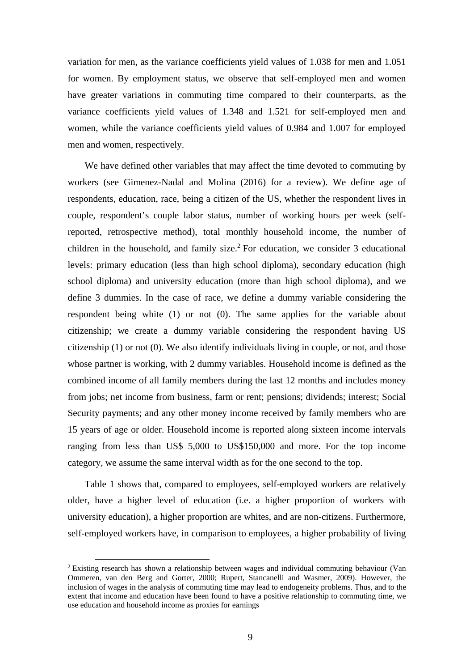variation for men, as the variance coefficients yield values of 1.038 for men and 1.051 for women. By employment status, we observe that self-employed men and women have greater variations in commuting time compared to their counterparts, as the variance coefficients yield values of 1.348 and 1.521 for self-employed men and women, while the variance coefficients yield values of 0.984 and 1.007 for employed men and women, respectively.

We have defined other variables that may affect the time devoted to commuting by workers (see Gimenez-Nadal and Molina (2016) for a review). We define age of respondents, education, race, being a citizen of the US, whether the respondent lives in couple, respondent's couple labor status, number of working hours per week (selfreported, retrospective method), total monthly household income, the number of children in the household, and family size.<sup>2</sup> For education, we consider  $3$  educational levels: primary education (less than high school diploma), secondary education (high school diploma) and university education (more than high school diploma), and we define 3 dummies. In the case of race, we define a dummy variable considering the respondent being white (1) or not (0). The same applies for the variable about citizenship; we create a dummy variable considering the respondent having US citizenship (1) or not (0). We also identify individuals living in couple, or not, and those whose partner is working, with 2 dummy variables. Household income is defined as the combined income of all family members during the last 12 months and includes money from jobs; net income from business, farm or rent; pensions; dividends; interest; Social Security payments; and any other money income received by family members who are 15 years of age or older. Household income is reported along sixteen income intervals ranging from less than US\$ 5,000 to US\$150,000 and more. For the top income category, we assume the same interval width as for the one second to the top.

Table 1 shows that, compared to employees, self-employed workers are relatively older, have a higher level of education (i.e. a higher proportion of workers with university education), a higher proportion are whites, and are non-citizens. Furthermore, self-employed workers have, in comparison to employees, a higher probability of living

<sup>&</sup>lt;sup>2</sup> Existing research has shown a relationship between wages and individual commuting behaviour (Van Ommeren, van den Berg and Gorter, 2000; Rupert, Stancanelli and Wasmer, 2009). However, the inclusion of wages in the analysis of commuting time may lead to endogeneity problems. Thus, and to the extent that income and education have been found to have a positive relationship to commuting time, we use education and household income as proxies for earnings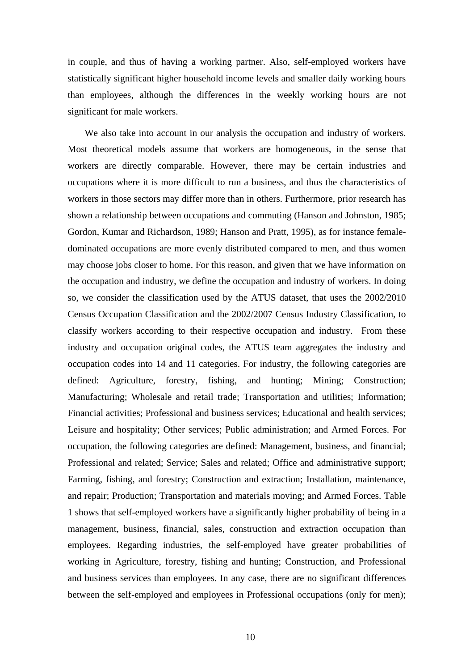in couple, and thus of having a working partner. Also, self-employed workers have statistically significant higher household income levels and smaller daily working hours than employees, although the differences in the weekly working hours are not significant for male workers.

We also take into account in our analysis the occupation and industry of workers. Most theoretical models assume that workers are homogeneous, in the sense that workers are directly comparable. However, there may be certain industries and occupations where it is more difficult to run a business, and thus the characteristics of workers in those sectors may differ more than in others. Furthermore, prior research has shown a relationship between occupations and commuting (Hanson and Johnston, 1985; Gordon, Kumar and Richardson, 1989; Hanson and Pratt, 1995), as for instance femaledominated occupations are more evenly distributed compared to men, and thus women may choose jobs closer to home. For this reason, and given that we have information on the occupation and industry, we define the occupation and industry of workers. In doing so, we consider the classification used by the ATUS dataset, that uses the 2002/2010 Census Occupation Classification and the 2002/2007 Census Industry Classification, to classify workers according to their respective occupation and industry. From these industry and occupation original codes, the ATUS team aggregates the industry and occupation codes into 14 and 11 categories. For industry, the following categories are defined: Agriculture, forestry, fishing, and hunting; Mining; Construction; Manufacturing; Wholesale and retail trade; Transportation and utilities; Information; Financial activities; Professional and business services; Educational and health services; Leisure and hospitality; Other services; Public administration; and Armed Forces. For occupation, the following categories are defined: Management, business, and financial; Professional and related; Service; Sales and related; Office and administrative support; Farming, fishing, and forestry; Construction and extraction; Installation, maintenance, and repair; Production; Transportation and materials moving; and Armed Forces. Table 1 shows that self-employed workers have a significantly higher probability of being in a management, business, financial, sales, construction and extraction occupation than employees. Regarding industries, the self-employed have greater probabilities of working in Agriculture, forestry, fishing and hunting; Construction, and Professional and business services than employees. In any case, there are no significant differences between the self-employed and employees in Professional occupations (only for men);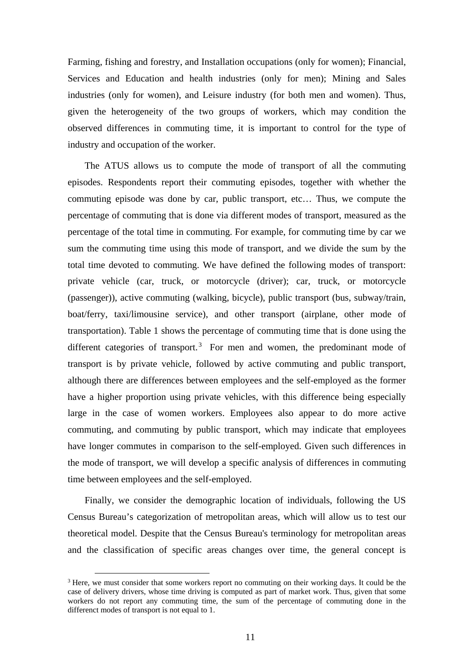Farming, fishing and forestry, and Installation occupations (only for women); Financial, Services and Education and health industries (only for men); Mining and Sales industries (only for women), and Leisure industry (for both men and women). Thus, given the heterogeneity of the two groups of workers, which may condition the observed differences in commuting time, it is important to control for the type of industry and occupation of the worker.

The ATUS allows us to compute the mode of transport of all the commuting episodes. Respondents report their commuting episodes, together with whether the commuting episode was done by car, public transport, etc… Thus, we compute the percentage of commuting that is done via different modes of transport, measured as the percentage of the total time in commuting. For example, for commuting time by car we sum the commuting time using this mode of transport, and we divide the sum by the total time devoted to commuting. We have defined the following modes of transport: private vehicle (car, truck, or motorcycle (driver); car, truck, or motorcycle (passenger)), active commuting (walking, bicycle), public transport (bus, subway/train, boat/ferry, taxi/limousine service), and other transport (airplane, other mode of transportation). Table 1 shows the percentage of commuting time that is done using the different categories of transport.<sup>3</sup> For men and women, the predominant mode of transport is by private vehicle, followed by active commuting and public transport, although there are differences between employees and the self-employed as the former have a higher proportion using private vehicles, with this difference being especially large in the case of women workers. Employees also appear to do more active commuting, and commuting by public transport, which may indicate that employees have longer commutes in comparison to the self-employed. Given such differences in the mode of transport, we will develop a specific analysis of differences in commuting time between employees and the self-employed.

Finally, we consider the demographic location of individuals, following the US Census Bureau's categorization of metropolitan areas, which will allow us to test our theoretical model. Despite that the Census Bureau's terminology for metropolitan areas and the classification of specific areas changes over time, the general concept is

<sup>&</sup>lt;sup>3</sup> Here, we must consider that some workers report no commuting on their working days. It could be the case of delivery drivers, whose time driving is computed as part of market work. Thus, given that some workers do not report any commuting time, the sum of the percentage of commuting done in the differenct modes of transport is not equal to 1.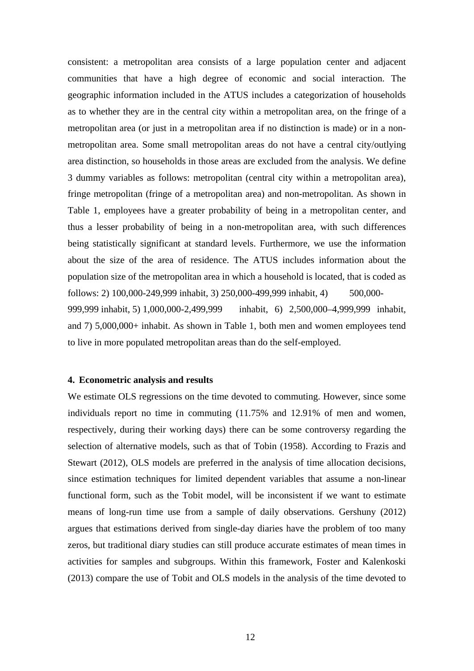consistent: a metropolitan area consists of a large population center and adjacent communities that have a high degree of economic and social interaction. The geographic information included in the ATUS includes a categorization of households as to whether they are in the central city within a metropolitan area, on the fringe of a metropolitan area (or just in a metropolitan area if no distinction is made) or in a nonmetropolitan area. Some small metropolitan areas do not have a central city/outlying area distinction, so households in those areas are excluded from the analysis. We define 3 dummy variables as follows: metropolitan (central city within a metropolitan area), fringe metropolitan (fringe of a metropolitan area) and non-metropolitan. As shown in Table 1, employees have a greater probability of being in a metropolitan center, and thus a lesser probability of being in a non-metropolitan area, with such differences being statistically significant at standard levels. Furthermore, we use the information about the size of the area of residence. The ATUS includes information about the population size of the metropolitan area in which a household is located, that is coded as follows: 2) 100,000-249,999 inhabit, 3) 250,000-499,999 inhabit, 4) 500,000- 999,999 inhabit, 5) 1,000,000-2,499,999 inhabit, 6) 2,500,000–4,999,999 inhabit, and 7) 5,000,000+ inhabit. As shown in Table 1, both men and women employees tend to live in more populated metropolitan areas than do the self-employed.

#### **4. Econometric analysis and results**

We estimate OLS regressions on the time devoted to commuting. However, since some individuals report no time in commuting (11.75% and 12.91% of men and women, respectively, during their working days) there can be some controversy regarding the selection of alternative models, such as that of Tobin (1958). According to Frazis and Stewart (2012), OLS models are preferred in the analysis of time allocation decisions, since estimation techniques for limited dependent variables that assume a non-linear functional form, such as the Tobit model, will be inconsistent if we want to estimate means of long-run time use from a sample of daily observations. Gershuny (2012) argues that estimations derived from single-day diaries have the problem of too many zeros, but traditional diary studies can still produce accurate estimates of mean times in activities for samples and subgroups. Within this framework, Foster and Kalenkoski (2013) compare the use of Tobit and OLS models in the analysis of the time devoted to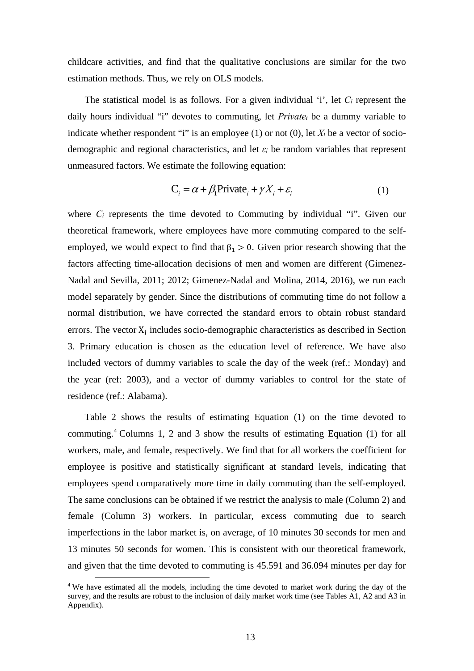childcare activities, and find that the qualitative conclusions are similar for the two estimation methods. Thus, we rely on OLS models.

The statistical model is as follows. For a given individual 'i', let *Ci* represent the daily hours individual "i" devotes to commuting, let *Privatei* be a dummy variable to indicate whether respondent "i" is an employee (1) or not (0), let  $X_i$  be a vector of sociodemographic and regional characteristics, and let *εi* be random variables that represent unmeasured factors. We estimate the following equation:

$$
C_i = \alpha + \beta_1 \text{Private}_i + \gamma X_i + \varepsilon_i \tag{1}
$$

where  $C_i$  represents the time devoted to Commuting by individual "i". Given our theoretical framework, where employees have more commuting compared to the selfemployed, we would expect to find that  $\beta_1 > 0$ . Given prior research showing that the factors affecting time-allocation decisions of men and women are different (Gimenez-Nadal and Sevilla, 2011; 2012; Gimenez-Nadal and Molina, 2014, 2016), we run each model separately by gender. Since the distributions of commuting time do not follow a normal distribution, we have corrected the standard errors to obtain robust standard errors. The vector  $X_i$  includes socio-demographic characteristics as described in Section 3. Primary education is chosen as the education level of reference. We have also included vectors of dummy variables to scale the day of the week (ref.: Monday) and the year (ref: 2003), and a vector of dummy variables to control for the state of residence (ref.: Alabama).

Table 2 shows the results of estimating Equation (1) on the time devoted to commuting.<sup>4</sup> Columns 1, 2 and 3 show the results of estimating Equation (1) for all workers, male, and female, respectively. We find that for all workers the coefficient for employee is positive and statistically significant at standard levels, indicating that employees spend comparatively more time in daily commuting than the self-employed. The same conclusions can be obtained if we restrict the analysis to male (Column 2) and female (Column 3) workers. In particular, excess commuting due to search imperfections in the labor market is, on average, of 10 minutes 30 seconds for men and 13 minutes 50 seconds for women. This is consistent with our theoretical framework, and given that the time devoted to commuting is 45.591 and 36.094 minutes per day for

<sup>&</sup>lt;sup>4</sup> We have estimated all the models, including the time devoted to market work during the day of the survey, and the results are robust to the inclusion of daily market work time (see Tables A1, A2 and A3 in Appendix).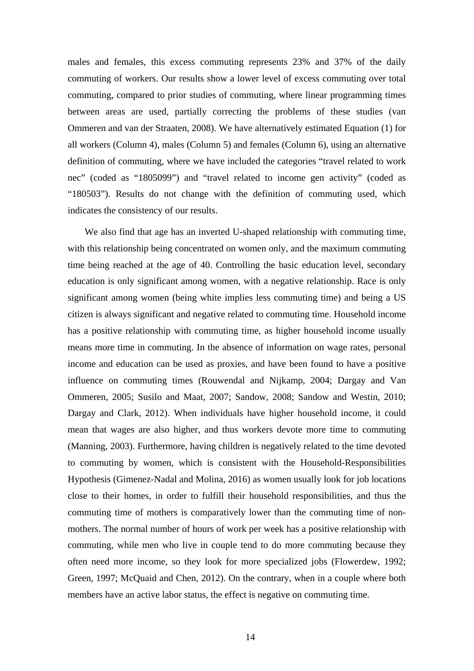males and females, this excess commuting represents 23% and 37% of the daily commuting of workers. Our results show a lower level of excess commuting over total commuting, compared to prior studies of commuting, where linear programming times between areas are used, partially correcting the problems of these studies (van Ommeren and van der Straaten, 2008). We have alternatively estimated Equation (1) for all workers (Column 4), males (Column 5) and females (Column 6), using an alternative definition of commuting, where we have included the categories "travel related to work nec" (coded as "1805099") and "travel related to income gen activity" (coded as "180503"). Results do not change with the definition of commuting used, which indicates the consistency of our results.

We also find that age has an inverted U-shaped relationship with commuting time, with this relationship being concentrated on women only, and the maximum commuting time being reached at the age of 40. Controlling the basic education level, secondary education is only significant among women, with a negative relationship. Race is only significant among women (being white implies less commuting time) and being a US citizen is always significant and negative related to commuting time. Household income has a positive relationship with commuting time, as higher household income usually means more time in commuting. In the absence of information on wage rates, personal income and education can be used as proxies, and have been found to have a positive influence on commuting times (Rouwendal and Nijkamp, 2004; Dargay and Van Ommeren, 2005; Susilo and Maat, 2007; Sandow, 2008; Sandow and Westin, 2010; Dargay and Clark, 2012). When individuals have higher household income, it could mean that wages are also higher, and thus workers devote more time to commuting (Manning, 2003). Furthermore, having children is negatively related to the time devoted to commuting by women, which is consistent with the Household-Responsibilities Hypothesis (Gimenez-Nadal and Molina, 2016) as women usually look for job locations close to their homes, in order to fulfill their household responsibilities, and thus the commuting time of mothers is comparatively lower than the commuting time of nonmothers. The normal number of hours of work per week has a positive relationship with commuting, while men who live in couple tend to do more commuting because they often need more income, so they look for more specialized jobs (Flowerdew, 1992; Green, 1997; McQuaid and Chen, 2012). On the contrary, when in a couple where both members have an active labor status, the effect is negative on commuting time.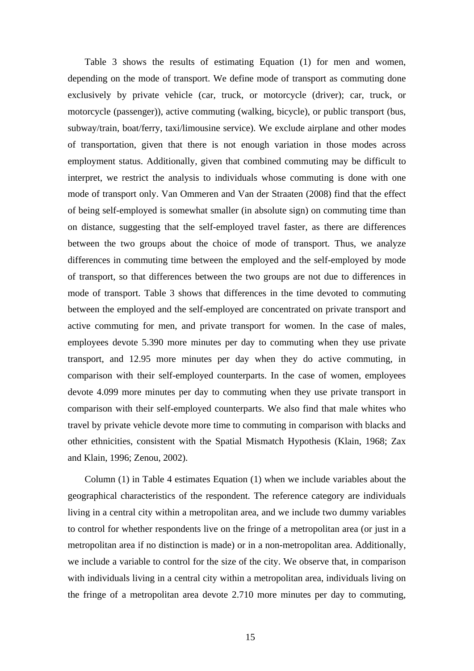Table 3 shows the results of estimating Equation (1) for men and women, depending on the mode of transport. We define mode of transport as commuting done exclusively by private vehicle (car, truck, or motorcycle (driver); car, truck, or motorcycle (passenger)), active commuting (walking, bicycle), or public transport (bus, subway/train, boat/ferry, taxi/limousine service). We exclude airplane and other modes of transportation, given that there is not enough variation in those modes across employment status. Additionally, given that combined commuting may be difficult to interpret, we restrict the analysis to individuals whose commuting is done with one mode of transport only. Van Ommeren and Van der Straaten (2008) find that the effect of being self-employed is somewhat smaller (in absolute sign) on commuting time than on distance, suggesting that the self-employed travel faster, as there are differences between the two groups about the choice of mode of transport. Thus, we analyze differences in commuting time between the employed and the self-employed by mode of transport, so that differences between the two groups are not due to differences in mode of transport. Table 3 shows that differences in the time devoted to commuting between the employed and the self-employed are concentrated on private transport and active commuting for men, and private transport for women. In the case of males, employees devote 5.390 more minutes per day to commuting when they use private transport, and 12.95 more minutes per day when they do active commuting, in comparison with their self-employed counterparts. In the case of women, employees devote 4.099 more minutes per day to commuting when they use private transport in comparison with their self-employed counterparts. We also find that male whites who travel by private vehicle devote more time to commuting in comparison with blacks and other ethnicities, consistent with the Spatial Mismatch Hypothesis (Klain, 1968; Zax and Klain, 1996; Zenou, 2002).

Column (1) in Table 4 estimates Equation (1) when we include variables about the geographical characteristics of the respondent. The reference category are individuals living in a central city within a metropolitan area, and we include two dummy variables to control for whether respondents live on the fringe of a metropolitan area (or just in a metropolitan area if no distinction is made) or in a non-metropolitan area. Additionally, we include a variable to control for the size of the city. We observe that, in comparison with individuals living in a central city within a metropolitan area, individuals living on the fringe of a metropolitan area devote 2.710 more minutes per day to commuting,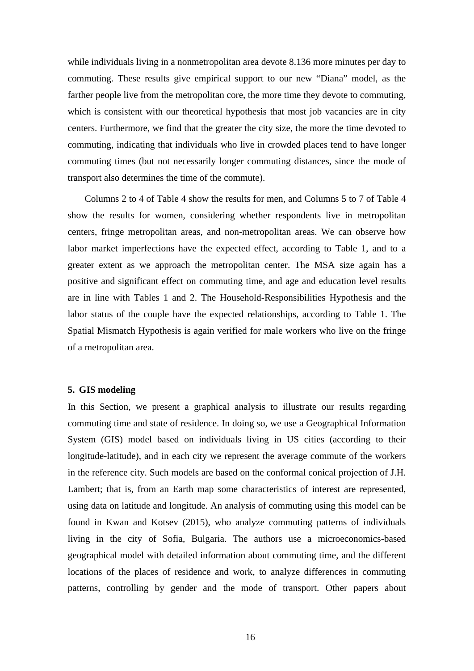while individuals living in a nonmetropolitan area devote 8.136 more minutes per day to commuting. These results give empirical support to our new "Diana" model, as the farther people live from the metropolitan core, the more time they devote to commuting, which is consistent with our theoretical hypothesis that most job vacancies are in city centers. Furthermore, we find that the greater the city size, the more the time devoted to commuting, indicating that individuals who live in crowded places tend to have longer commuting times (but not necessarily longer commuting distances, since the mode of transport also determines the time of the commute).

Columns 2 to 4 of Table 4 show the results for men, and Columns 5 to 7 of Table 4 show the results for women, considering whether respondents live in metropolitan centers, fringe metropolitan areas, and non-metropolitan areas. We can observe how labor market imperfections have the expected effect, according to Table 1, and to a greater extent as we approach the metropolitan center. The MSA size again has a positive and significant effect on commuting time, and age and education level results are in line with Tables 1 and 2. The Household-Responsibilities Hypothesis and the labor status of the couple have the expected relationships, according to Table 1. The Spatial Mismatch Hypothesis is again verified for male workers who live on the fringe of a metropolitan area.

#### **5. GIS modeling**

In this Section, we present a graphical analysis to illustrate our results regarding commuting time and state of residence. In doing so, we use a Geographical Information System (GIS) model based on individuals living in US cities (according to their longitude-latitude), and in each city we represent the average commute of the workers in the reference city. Such models are based on the conformal conical projection of J.H. Lambert; that is, from an Earth map some characteristics of interest are represented, using data on latitude and longitude. An analysis of commuting using this model can be found in Kwan and Kotsev (2015), who analyze commuting patterns of individuals living in the city of Sofia, Bulgaria. The authors use a microeconomics-based geographical model with detailed information about commuting time, and the different locations of the places of residence and work, to analyze differences in commuting patterns, controlling by gender and the mode of transport. Other papers about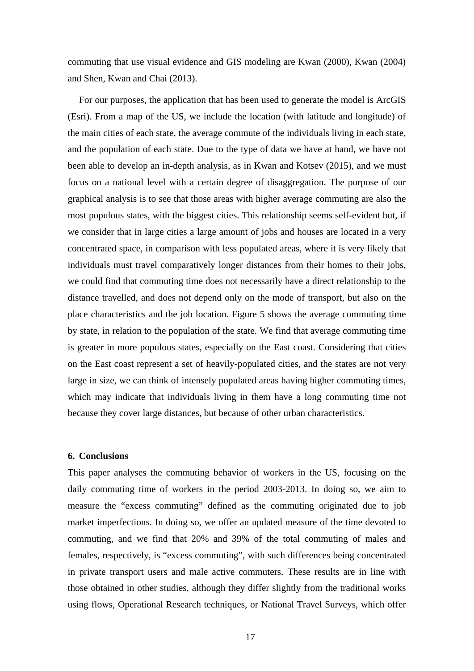commuting that use visual evidence and GIS modeling are Kwan (2000), Kwan (2004) and Shen, Kwan and Chai (2013).

For our purposes, the application that has been used to generate the model is ArcGIS (Esri). From a map of the US, we include the location (with latitude and longitude) of the main cities of each state, the average commute of the individuals living in each state, and the population of each state. Due to the type of data we have at hand, we have not been able to develop an in-depth analysis, as in Kwan and Kotsev (2015), and we must focus on a national level with a certain degree of disaggregation. The purpose of our graphical analysis is to see that those areas with higher average commuting are also the most populous states, with the biggest cities. This relationship seems self-evident but, if we consider that in large cities a large amount of jobs and houses are located in a very concentrated space, in comparison with less populated areas, where it is very likely that individuals must travel comparatively longer distances from their homes to their jobs, we could find that commuting time does not necessarily have a direct relationship to the distance travelled, and does not depend only on the mode of transport, but also on the place characteristics and the job location. Figure 5 shows the average commuting time by state, in relation to the population of the state. We find that average commuting time is greater in more populous states, especially on the East coast. Considering that cities on the East coast represent a set of heavily-populated cities, and the states are not very large in size, we can think of intensely populated areas having higher commuting times, which may indicate that individuals living in them have a long commuting time not because they cover large distances, but because of other urban characteristics.

#### **6. Conclusions**

This paper analyses the commuting behavior of workers in the US, focusing on the daily commuting time of workers in the period 2003-2013. In doing so, we aim to measure the "excess commuting" defined as the commuting originated due to job market imperfections. In doing so, we offer an updated measure of the time devoted to commuting, and we find that 20% and 39% of the total commuting of males and females, respectively, is "excess commuting", with such differences being concentrated in private transport users and male active commuters. These results are in line with those obtained in other studies, although they differ slightly from the traditional works using flows, Operational Research techniques, or National Travel Surveys, which offer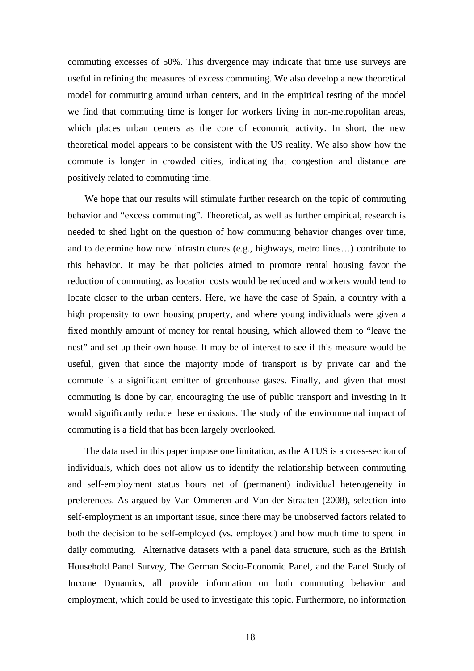commuting excesses of 50%. This divergence may indicate that time use surveys are useful in refining the measures of excess commuting. We also develop a new theoretical model for commuting around urban centers, and in the empirical testing of the model we find that commuting time is longer for workers living in non-metropolitan areas, which places urban centers as the core of economic activity. In short, the new theoretical model appears to be consistent with the US reality. We also show how the commute is longer in crowded cities, indicating that congestion and distance are positively related to commuting time.

We hope that our results will stimulate further research on the topic of commuting behavior and "excess commuting". Theoretical, as well as further empirical, research is needed to shed light on the question of how commuting behavior changes over time, and to determine how new infrastructures (e.g., highways, metro lines…) contribute to this behavior. It may be that policies aimed to promote rental housing favor the reduction of commuting, as location costs would be reduced and workers would tend to locate closer to the urban centers. Here, we have the case of Spain, a country with a high propensity to own housing property, and where young individuals were given a fixed monthly amount of money for rental housing, which allowed them to "leave the nest" and set up their own house. It may be of interest to see if this measure would be useful, given that since the majority mode of transport is by private car and the commute is a significant emitter of greenhouse gases. Finally, and given that most commuting is done by car, encouraging the use of public transport and investing in it would significantly reduce these emissions. The study of the environmental impact of commuting is a field that has been largely overlooked.

The data used in this paper impose one limitation, as the ATUS is a cross-section of individuals, which does not allow us to identify the relationship between commuting and self-employment status hours net of (permanent) individual heterogeneity in preferences. As argued by Van Ommeren and Van der Straaten (2008), selection into self-employment is an important issue, since there may be unobserved factors related to both the decision to be self-employed (vs. employed) and how much time to spend in daily commuting. Alternative datasets with a panel data structure, such as the British Household Panel Survey, The German Socio-Economic Panel, and the Panel Study of Income Dynamics, all provide information on both commuting behavior and employment, which could be used to investigate this topic. Furthermore, no information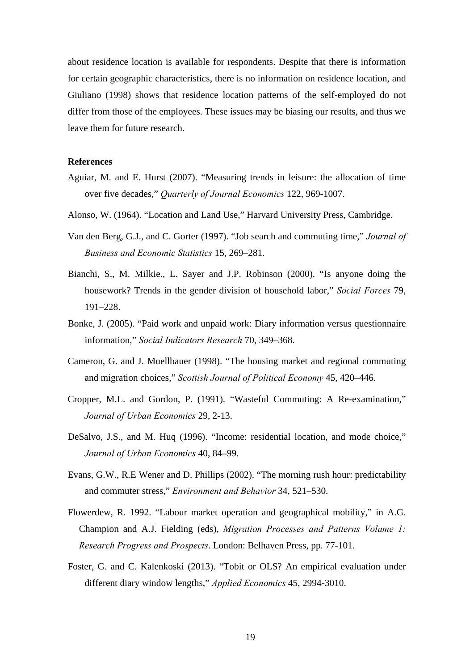about residence location is available for respondents. Despite that there is information for certain geographic characteristics, there is no information on residence location, and Giuliano (1998) shows that residence location patterns of the self-employed do not differ from those of the employees. These issues may be biasing our results, and thus we leave them for future research.

#### **References**

- Aguiar, M. and E. Hurst (2007). "Measuring trends in leisure: the allocation of time over five decades," *Quarterly of Journal Economics* 122, 969-1007.
- Alonso, W. (1964). "Location and Land Use," Harvard University Press, Cambridge.
- Van den Berg, G.J., and C. Gorter (1997). "Job search and commuting time," *Journal of Business and Economic Statistics* 15, 269–281.
- Bianchi, S., M. Milkie., L. Sayer and J.P. Robinson (2000). "Is anyone doing the housework? Trends in the gender division of household labor," *Social Forces* 79, 191–228.
- Bonke, J. (2005). "Paid work and unpaid work: Diary information versus questionnaire information," *Social Indicators Research* 70, 349–368.
- Cameron, G. and J. Muellbauer (1998). "The housing market and regional commuting and migration choices," *Scottish Journal of Political Economy* 45, 420–446.
- Cropper, M.L. and Gordon, P. (1991). "Wasteful Commuting: A Re-examination," *Journal of Urban Economics* 29, 2-13.
- DeSalvo, J.S., and M. Huq (1996). "Income: residential location, and mode choice," *Journal of Urban Economics* 40, 84–99.
- Evans, G.W., R.E Wener and D. Phillips (2002). "The morning rush hour: predictability and commuter stress," *Environment and Behavior* 34, 521–530.
- Flowerdew, R. 1992. "Labour market operation and geographical mobility," in A.G. Champion and A.J. Fielding (eds), *Migration Processes and Patterns Volume 1: Research Progress and Prospects*. London: Belhaven Press, pp. 77-101.
- Foster, G. and C. Kalenkoski (2013). "Tobit or OLS? An empirical evaluation under different diary window lengths," *Applied Economics* 45, 2994-3010.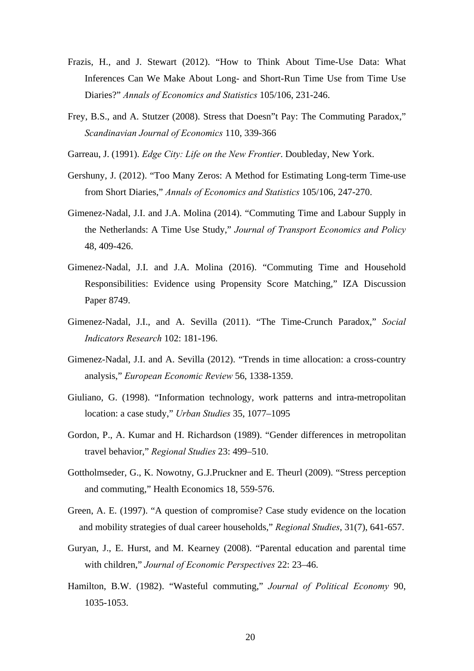- Frazis, H., and J. Stewart (2012). "How to Think About Time-Use Data: What Inferences Can We Make About Long- and Short-Run Time Use from Time Use Diaries?" *Annals of Economics and Statistics* 105/106, 231-246.
- Frey, B.S., and A. Stutzer (2008). Stress that Doesn"t Pay: The Commuting Paradox," *Scandinavian Journal of Economics* 110, 339-366
- Garreau, J. (1991). *Edge City: Life on the New Frontier*. Doubleday, New York.
- Gershuny, J. (2012). "Too Many Zeros: A Method for Estimating Long-term Time-use from Short Diaries," *Annals of Economics and Statistics* 105/106, 247-270.
- Gimenez-Nadal, J.I. and J.A. Molina (2014). "Commuting Time and Labour Supply in the Netherlands: A Time Use Study," *Journal of Transport Economics and Policy* 48, 409-426.
- Gimenez-Nadal, J.I. and J.A. Molina (2016). "Commuting Time and Household Responsibilities: Evidence using Propensity Score Matching," IZA Discussion Paper 8749.
- Gimenez-Nadal, J.I., and A. Sevilla (2011). "The Time-Crunch Paradox," *Social Indicators Research* 102: 181-196.
- Gimenez-Nadal, J.I. and A. Sevilla (2012). "Trends in time allocation: a cross-country analysis," *European Economic Review* 56, 1338-1359.
- Giuliano, G. (1998). "Information technology, work patterns and intra-metropolitan location: a case study," *Urban Studies* 35, 1077–1095
- Gordon, P., A. Kumar and H. Richardson (1989). "Gender differences in metropolitan travel behavior," *Regional Studies* 23: 499–510.
- Gottholmseder, G., K. Nowotny, G.J.Pruckner and E. Theurl (2009). "Stress perception and commuting," Health Economics 18, 559-576.
- Green, A. E. (1997). "A question of compromise? Case study evidence on the location and mobility strategies of dual career households," *Regional Studies*, 31(7), 641-657.
- Guryan, J., E. Hurst, and M. Kearney (2008). "Parental education and parental time with children," *Journal of Economic Perspectives* 22: 23–46.
- Hamilton, B.W. (1982). "Wasteful commuting," *Journal of Political Economy* 90, 1035-1053.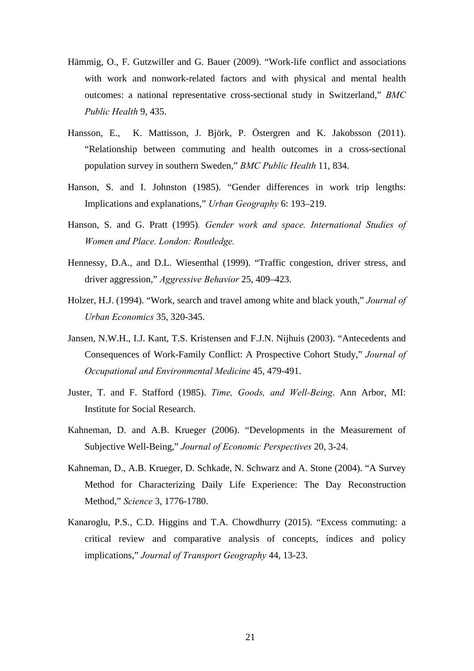- Hämmig, O., F. Gutzwiller and G. Bauer (2009). "Work-life conflict and associations with work and nonwork-related factors and with physical and mental health outcomes: a national representative cross-sectional study in Switzerland," *BMC Public Health* 9, 435.
- Hansson, E., K. Mattisson, J. Björk, P. Östergren and K. Jakobsson (2011). "Relationship between commuting and health outcomes in a cross-sectional population survey in southern Sweden," *BMC Public Health* 11, 834.
- Hanson, S. and I. Johnston (1985). "Gender differences in work trip lengths: Implications and explanations," *Urban Geography* 6: 193–219.
- Hanson, S. and G. Pratt (1995)*. Gender work and space. International Studies of Women and Place. London: Routledge.*
- Hennessy, D.A., and D.L. Wiesenthal (1999). "Traffic congestion, driver stress, and driver aggression," *Aggressive Behavior* 25, 409–423.
- Holzer, H.J. (1994). "Work, search and travel among white and black youth," *Journal of Urban Economics* 35, 320-345.
- Jansen, N.W.H., I.J. Kant, T.S. Kristensen and F.J.N. Nijhuis (2003). "Antecedents and Consequences of Work-Family Conflict: A Prospective Cohort Study," *Journal of Occupational and Environmental Medicine* 45, 479-491.
- Juster, T. and F. Stafford (1985). *Time, Goods, and Well-Being*. Ann Arbor, MI: Institute for Social Research.
- Kahneman, D. and A.B. Krueger (2006). "Developments in the Measurement of Subjective Well-Being," *Journal of Economic Perspectives* 20, 3-24.
- Kahneman, D., A.B. Krueger, D. Schkade, N. Schwarz and A. Stone (2004). "A Survey Method for Characterizing Daily Life Experience: The Day Reconstruction Method," *Science* 3, 1776-1780.
- Kanaroglu, P.S., C.D. Higgins and T.A. Chowdhurry (2015). "Excess commuting: a critical review and comparative analysis of concepts, índices and policy implications," *Journal of Transport Geography* 44, 13-23.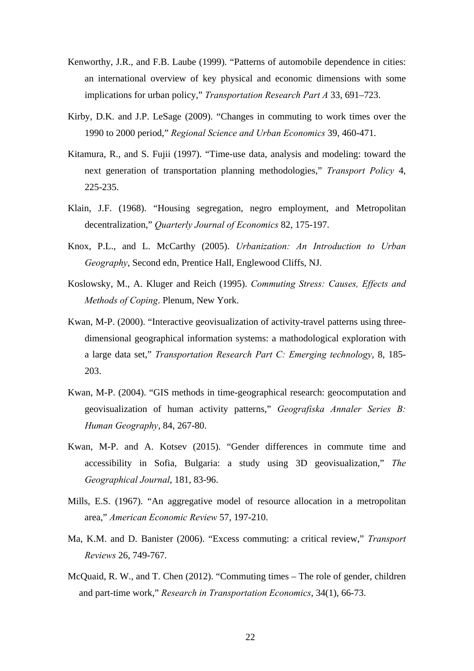- Kenworthy, J.R., and F.B. Laube (1999). "Patterns of automobile dependence in cities: an international overview of key physical and economic dimensions with some implications for urban policy," *Transportation Research Part A* 33, 691–723.
- Kirby, D.K. and J.P. LeSage (2009). "Changes in commuting to work times over the 1990 to 2000 period," *Regional Science and Urban Economics* 39, 460-471.
- Kitamura, R., and S. Fujii (1997). "Time-use data, analysis and modeling: toward the next generation of transportation planning methodologies," *Transport Policy* 4, 225-235.
- Klain, J.F. (1968). "Housing segregation, negro employment, and Metropolitan decentralization," *Quarterly Journal of Economics* 82, 175-197.
- Knox, P.L., and L. McCarthy (2005). *Urbanization: An Introduction to Urban Geography*, Second edn, Prentice Hall, Englewood Cliffs, NJ.
- Koslowsky, M., A. Kluger and Reich (1995). *Commuting Stress: Causes, Effects and Methods of Coping*. Plenum, New York.
- Kwan, M-P. (2000). "Interactive geovisualization of activity-travel patterns using threedimensional geographical information systems: a mathodological exploration with a large data set," *Transportation Research Part C: Emerging technology*, 8, 185- 203.
- Kwan, M-P. (2004). "GIS methods in time-geographical research: geocomputation and geovisualization of human activity patterns," *Geografiska Annaler Series B: Human Geography*, 84, 267-80.
- Kwan, M-P. and A. Kotsev (2015). "Gender differences in commute time and accessibility in Sofia, Bulgaria: a study using 3D geovisualization," *The Geographical Journal*, 181, 83-96.
- Mills, E.S. (1967). "An aggregative model of resource allocation in a metropolitan area," *American Economic Review* 57, 197-210.
- Ma, K.M. and D. Banister (2006). "Excess commuting: a critical review," *Transport Reviews* 26, 749-767.
- McQuaid, R. W., and T. Chen (2012). "Commuting times The role of gender, children and part-time work," *Research in Transportation Economics*, 34(1), 66-73.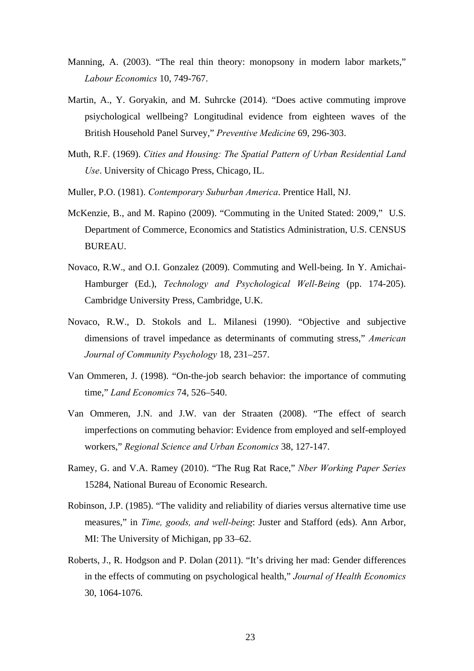- Manning, A. (2003). "The real thin theory: monopsony in modern labor markets," *Labour Economics* 10, 749-767.
- Martin, A., Y. Goryakin, and M. Suhrcke (2014). "Does active commuting improve psiychological wellbeing? Longitudinal evidence from eighteen waves of the British Household Panel Survey," *Preventive Medicine* 69, 296-303.
- Muth, R.F. (1969). *Cities and Housing: The Spatial Pattern of Urban Residential Land Use*. University of Chicago Press, Chicago, IL.
- Muller, P.O. (1981). *Contemporary Suburban America*. Prentice Hall, NJ.
- McKenzie, B., and M. Rapino (2009). "Commuting in the United Stated: 2009," U.S. Department of Commerce, Economics and Statistics Administration, U.S. CENSUS BUREAU.
- Novaco, R.W., and O.I. Gonzalez (2009). Commuting and Well-being. In Y. Amichai-Hamburger (Ed.), *Technology and Psychological Well-Being* (pp. 174-205). Cambridge University Press, Cambridge, U.K.
- Novaco, R.W., D. Stokols and L. Milanesi (1990). "Objective and subjective dimensions of travel impedance as determinants of commuting stress," *American Journal of Community Psychology* 18, 231–257.
- Van Ommeren, J. (1998). "On-the-job search behavior: the importance of commuting time," *Land Economics* 74, 526–540.
- Van Ommeren, J.N. and J.W. van der Straaten (2008). "The effect of search imperfections on commuting behavior: Evidence from employed and self-employed workers," *Regional Science and Urban Economics* 38, 127-147.
- Ramey, G. and V.A. Ramey (2010). "The Rug Rat Race," *Nber Working Paper Series* 15284, National Bureau of Economic Research.
- Robinson, J.P. (1985). "The validity and reliability of diaries versus alternative time use measures," in *Time, goods, and well-being*: Juster and Stafford (eds). Ann Arbor, MI: The University of Michigan, pp 33–62.
- Roberts, J., R. Hodgson and P. Dolan (2011). "It's driving her mad: Gender differences in the effects of commuting on psychological health," *Journal of Health Economics* 30, 1064-1076.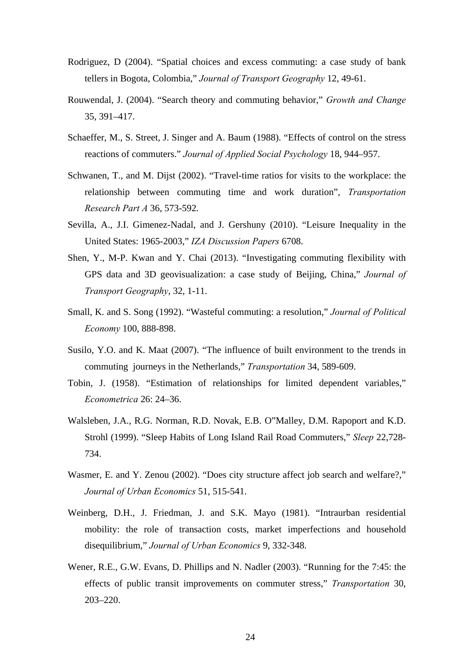- Rodriguez, D (2004). "Spatial choices and excess commuting: a case study of bank tellers in Bogota, Colombia," *Journal of Transport Geography* 12, 49-61.
- Rouwendal, J. (2004). "Search theory and commuting behavior," *Growth and Change* 35, 391–417.
- Schaeffer, M., S. Street, J. Singer and A. Baum (1988). "Effects of control on the stress reactions of commuters." *Journal of Applied Social Psychology* 18, 944–957.
- Schwanen, T., and M. Dijst (2002). "Travel-time ratios for visits to the workplace: the relationship between commuting time and work duration", *Transportation Research Part A* 36, 573-592.
- Sevilla, A., J.I. Gimenez-Nadal, and J. Gershuny (2010). "Leisure Inequality in the United States: 1965-2003," *IZA Discussion Papers* 6708.
- Shen, Y., M-P. Kwan and Y. Chai (2013). "Investigating commuting flexibility with GPS data and 3D geovisualization: a case study of Beijing, China," *Journal of Transport Geography*, 32, 1-11.
- Small, K. and S. Song (1992). "Wasteful commuting: a resolution," *Journal of Political Economy* 100, 888-898.
- Susilo, Y.O. and K. Maat (2007). "The influence of built environment to the trends in commuting journeys in the Netherlands," *Transportation* 34, 589-609.
- Tobin, J. (1958). "Estimation of relationships for limited dependent variables," *Econometrica* 26: 24–36.
- Walsleben, J.A., R.G. Norman, R.D. Novak, E.B. O"Malley, D.M. Rapoport and K.D. Strohl (1999). "Sleep Habits of Long Island Rail Road Commuters," *Sleep* 22,728- 734.
- Wasmer, E. and Y. Zenou (2002). "Does city structure affect job search and welfare?," *Journal of Urban Economics* 51, 515-541.
- Weinberg, D.H., J. Friedman, J. and S.K. Mayo (1981). "Intraurban residential mobility: the role of transaction costs, market imperfections and household disequilibrium," *Journal of Urban Economics* 9, 332-348.
- Wener, R.E., G.W. Evans, D. Phillips and N. Nadler (2003). "Running for the 7:45: the effects of public transit improvements on commuter stress," *Transportation* 30, 203–220.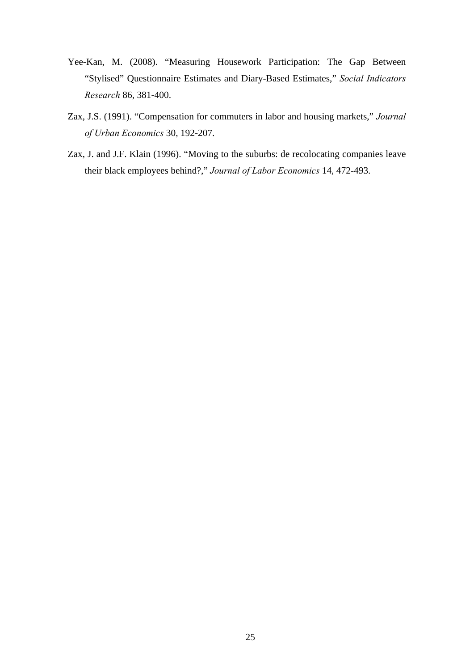- Yee-Kan, M. (2008). "Measuring Housework Participation: The Gap Between "Stylised" Questionnaire Estimates and Diary-Based Estimates," *Social Indicators Research* 86, 381-400.
- Zax, J.S. (1991). "Compensation for commuters in labor and housing markets," *Journal of Urban Economics* 30, 192-207.
- Zax, J. and J.F. Klain (1996). "Moving to the suburbs: de recolocating companies leave their black employees behind?," *Journal of Labor Economics* 14, 472-493.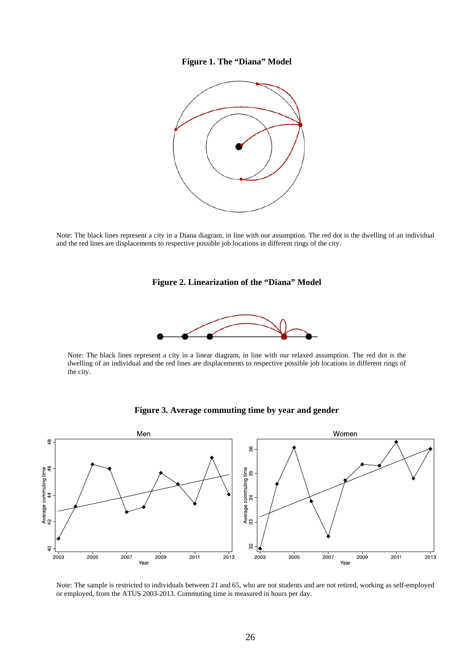#### **Figure 1. The "Diana" Model**



Note: The black lines represent a city in a Diana diagram, in line with our assumption. The red dot is the dwelling of an individual and the red lines are displacements to respective possible job locations in different rings of the city.

#### **Figure 2. Linearization of the "Diana" Model**



Note: The black lines represent a city in a linear diagram, in line with our relaxed assumption. The red dot is the dwelling of an individual and the red lines are displacements to respective possible job locations in different rings of the city.





Note: The sample is restricted to individuals between 21 and 65, who are not students and are not retired, working as self-employed or employed, from the ATUS 2003-2013. Commuting time is measured in hours per day.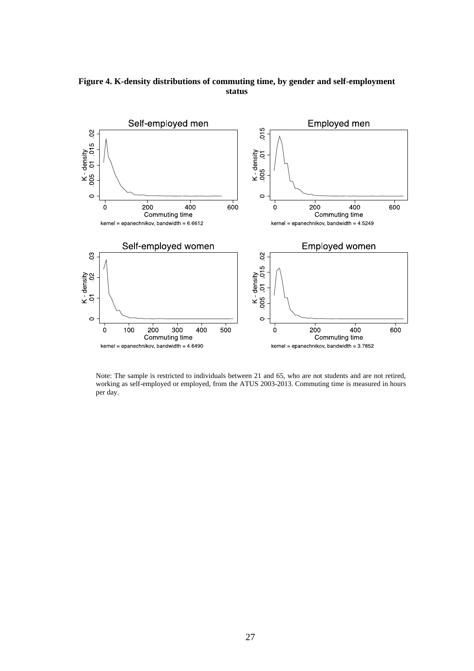

**Figure 4. K-density distributions of commuting time, by gender and self-employment status** 

Note: The sample is restricted to individuals between 21 and 65, who are not students and are not retired, working as self-employed or employed, from the ATUS 2003-2013. Commuting time is measured in hours per day.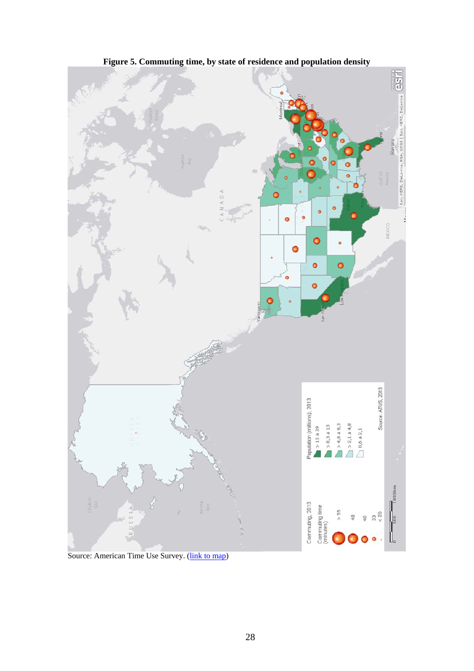

**Figure 5. Commuting time, by state of residence and population density** 

Source: American Time Use Survey. (*link to map*)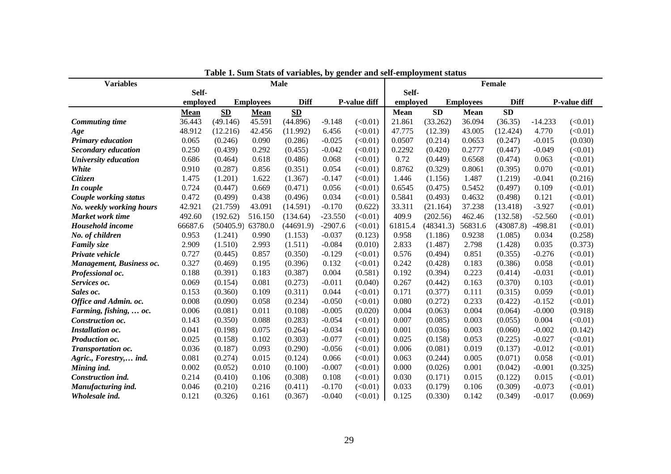| <b>Variables</b>           | таяк т. эат элам от татаякз, бу дениег ани эсп-стрюутст зласиз<br><b>Male</b> |           |                  |             | <b>Female</b> |              |             |           |                  |             |           |              |
|----------------------------|-------------------------------------------------------------------------------|-----------|------------------|-------------|---------------|--------------|-------------|-----------|------------------|-------------|-----------|--------------|
|                            | Self-                                                                         |           |                  |             |               |              | Self-       |           |                  |             |           |              |
|                            | employed                                                                      |           | <b>Employees</b> | <b>Diff</b> |               | P-value diff | employed    |           | <b>Employees</b> | <b>Diff</b> |           | P-value diff |
|                            | <b>Mean</b>                                                                   | SD        | Mean             | <b>SD</b>   |               |              | <b>Mean</b> | SD        | <b>Mean</b>      | <b>SD</b>   |           |              |
| <b>Commuting time</b>      | 36.443                                                                        | (49.146)  | 45.591           | (44.896)    | $-9.148$      | (<0.01)      | 21.861      | (33.262)  | 36.094           | (36.35)     | $-14.233$ | (<0.01)      |
| Age                        | 48.912                                                                        | (12.216)  | 42.456           | (11.992)    | 6.456         | (<0.01)      | 47.775      | (12.39)   | 43.005           | (12.424)    | 4.770     | (<0.01)      |
| <b>Primary education</b>   | 0.065                                                                         | (0.246)   | 0.090            | (0.286)     | $-0.025$      | (<0.01)      | 0.0507      | (0.214)   | 0.0653           | (0.247)     | $-0.015$  | (0.030)      |
| <b>Secondary education</b> | 0.250                                                                         | (0.439)   | 0.292            | (0.455)     | $-0.042$      | (<0.01)      | 0.2292      | (0.420)   | 0.2777           | (0.447)     | $-0.049$  | (<0.01)      |
| University education       | 0.686                                                                         | (0.464)   | 0.618            | (0.486)     | 0.068         | (<0.01)      | 0.72        | (0.449)   | 0.6568           | (0.474)     | 0.063     | (<0.01)      |
| <b>White</b>               | 0.910                                                                         | (0.287)   | 0.856            | (0.351)     | 0.054         | (<0.01)      | 0.8762      | (0.329)   | 0.8061           | (0.395)     | 0.070     | (<0.01)      |
| Citizen                    | 1.475                                                                         | (1.201)   | 1.622            | (1.367)     | $-0.147$      | (<0.01)      | 1.446       | (1.156)   | 1.487            | (1.219)     | $-0.041$  | (0.216)      |
| In couple                  | 0.724                                                                         | (0.447)   | 0.669            | (0.471)     | 0.056         | (<0.01)      | 0.6545      | (0.475)   | 0.5452           | (0.497)     | 0.109     | (<0.01)      |
| Couple working status      | 0.472                                                                         | (0.499)   | 0.438            | (0.496)     | 0.034         | (<0.01)      | 0.5841      | (0.493)   | 0.4632           | (0.498)     | 0.121     | (<0.01)      |
| No. weekly working hours   | 42.921                                                                        | (21.759)  | 43.091           | (14.591)    | $-0.170$      | (0.622)      | 33.311      | (21.164)  | 37.238           | (13.418)    | $-3.927$  | (<0.01)      |
| Market work time           | 492.60                                                                        | (192.62)  | 516.150          | (134.64)    | $-23.550$     | (<0.01)      | 409.9       | (202.56)  | 462.46           | (132.58)    | $-52.560$ | (<0.01)      |
| Household income           | 66687.6                                                                       | (50405.9) | 63780.0          | (44691.9)   | $-2907.6$     | (<0.01)      | 61815.4     | (48341.3) | 56831.6          | (43087.8)   | $-498.81$ | (<0.01)      |
| No. of children            | 0.953                                                                         | (1.241)   | 0.990            | (1.153)     | $-0.037$      | (0.123)      | 0.958       | (1.186)   | 0.9238           | (1.085)     | 0.034     | (0.258)      |
| <b>Family size</b>         | 2.909                                                                         | (1.510)   | 2.993            | (1.511)     | $-0.084$      | (0.010)      | 2.833       | (1.487)   | 2.798            | (1.428)     | 0.035     | (0.373)      |
| Private vehicle            | 0.727                                                                         | (0.445)   | 0.857            | (0.350)     | $-0.129$      | (<0.01)      | 0.576       | (0.494)   | 0.851            | (0.355)     | $-0.276$  | (<0.01)      |
| Management, Business oc.   | 0.327                                                                         | (0.469)   | 0.195            | (0.396)     | 0.132         | (<0.01)      | 0.242       | (0.428)   | 0.183            | (0.386)     | 0.058     | (<0.01)      |
| Professional oc.           | 0.188                                                                         | (0.391)   | 0.183            | (0.387)     | 0.004         | (0.581)      | 0.192       | (0.394)   | 0.223            | (0.414)     | $-0.031$  | (<0.01)      |
| Services oc.               | 0.069                                                                         | (0.154)   | 0.081            | (0.273)     | $-0.011$      | (0.040)      | 0.267       | (0.442)   | 0.163            | (0.370)     | 0.103     | (<0.01)      |
| Sales oc.                  | 0.153                                                                         | (0.360)   | 0.109            | (0.311)     | 0.044         | (<0.01)      | 0.171       | (0.377)   | 0.111            | (0.315)     | 0.059     | (<0.01)      |
| Office and Admin. oc.      | 0.008                                                                         | (0.090)   | 0.058            | (0.234)     | $-0.050$      | (<0.01)      | 0.080       | (0.272)   | 0.233            | (0.422)     | $-0.152$  | (<0.01)      |
| Farming, fishing,  oc.     | 0.006                                                                         | (0.081)   | 0.011            | (0.108)     | $-0.005$      | (0.020)      | 0.004       | (0.063)   | 0.004            | (0.064)     | $-0.000$  | (0.918)      |
| Construction oc.           | 0.143                                                                         | (0.350)   | 0.088            | (0.283)     | $-0.054$      | (<0.01)      | 0.007       | (0.085)   | 0.003            | (0.055)     | 0.004     | (<0.01)      |
| <b>Installation oc.</b>    | 0.041                                                                         | (0.198)   | 0.075            | (0.264)     | $-0.034$      | (<0.01)      | 0.001       | (0.036)   | 0.003            | (0.060)     | $-0.002$  | (0.142)      |
| Production oc.             | 0.025                                                                         | (0.158)   | 0.102            | (0.303)     | $-0.077$      | (<0.01)      | 0.025       | (0.158)   | 0.053            | (0.225)     | $-0.027$  | (<0.01)      |
| Transportation oc.         | 0.036                                                                         | (0.187)   | 0.093            | (0.290)     | $-0.056$      | (<0.01)      | 0.006       | (0.081)   | 0.019            | (0.137)     | $-0.012$  | (<0.01)      |
| Agric., Forestry, ind.     | 0.081                                                                         | (0.274)   | 0.015            | (0.124)     | 0.066         | (<0.01)      | 0.063       | (0.244)   | 0.005            | (0.071)     | 0.058     | (<0.01)      |
| Mining ind.                | 0.002                                                                         | (0.052)   | 0.010            | (0.100)     | $-0.007$      | (<0.01)      | 0.000       | (0.026)   | 0.001            | (0.042)     | $-0.001$  | (0.325)      |
| Construction ind.          | 0.214                                                                         | (0.410)   | 0.106            | (0.308)     | 0.108         | (<0.01)      | 0.030       | (0.171)   | 0.015            | (0.122)     | 0.015     | (<0.01)      |
| Manufacturing ind.         | 0.046                                                                         | (0.210)   | 0.216            | (0.411)     | $-0.170$      | (<0.01)      | 0.033       | (0.179)   | 0.106            | (0.309)     | $-0.073$  | (<0.01)      |
| Wholesale ind.             | 0.121                                                                         | (0.326)   | 0.161            | (0.367)     | $-0.040$      | (<0.01)      | 0.125       | (0.330)   | 0.142            | (0.349)     | $-0.017$  | (0.069)      |

**Table 1. Sum Stats of variables, by gender and self-employment status**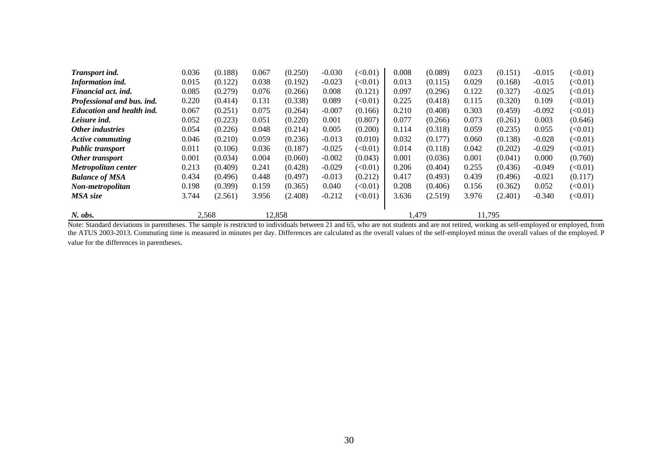| Transport ind.                   | 0.036 | (0.188) | 0.067  | (0.250) | $-0.030$ | (<0.01) | 0.008 | (0.089) | 0.023  | (0.151) | $-0.015$ | (<0.01) |
|----------------------------------|-------|---------|--------|---------|----------|---------|-------|---------|--------|---------|----------|---------|
| Information ind.                 | 0.015 | (0.122) | 0.038  | (0.192) | $-0.023$ | (<0.01) | 0.013 | (0.115) | 0.029  | (0.168) | $-0.015$ | (<0.01) |
| Financial act. ind.              | 0.085 | (0.279) | 0.076  | (0.266) | 0.008    | (0.121) | 0.097 | (0.296) | 0.122  | (0.327) | $-0.025$ | (<0.01) |
| Professional and bus. ind.       | 0.220 | (0.414) | 0.131  | (0.338) | 0.089    | (<0.01) | 0.225 | (0.418) | 0.115  | (0.320) | 0.109    | (<0.01) |
| <b>Education and health ind.</b> | 0.067 | (0.251) | 0.075  | (0.264) | $-0.007$ | (0.166) | 0.210 | (0.408) | 0.303  | (0.459) | $-0.092$ | (<0.01) |
| Leisure ind.                     | 0.052 | (0.223) | 0.051  | (0.220) | 0.001    | (0.807) | 0.077 | (0.266) | 0.073  | (0.261) | 0.003    | (0.646) |
| Other industries                 | 0.054 | (0.226) | 0.048  | (0.214) | 0.005    | (0.200) | 0.114 | (0.318) | 0.059  | (0.235) | 0.055    | (<0.01) |
| <b>Active commuting</b>          | 0.046 | (0.210) | 0.059  | (0.236) | $-0.013$ | (0.010) | 0.032 | (0.177) | 0.060  | (0.138) | $-0.028$ | (<0.01) |
| <b>Public transport</b>          | 0.011 | (0.106) | 0.036  | (0.187) | $-0.025$ | (<0.01) | 0.014 | (0.118) | 0.042  | (0.202) | $-0.029$ | (<0.01) |
| Other transport                  | 0.001 | (0.034) | 0.004  | (0.060) | $-0.002$ | (0.043) | 0.001 | (0.036) | 0.001  | (0.041) | 0.000    | (0.760) |
| Metropolitan center              | 0.213 | (0.409) | 0.241  | (0.428) | $-0.029$ | (<0.01) | 0.206 | (0.404) | 0.255  | (0.436) | $-0.049$ | (<0.01) |
| <b>Balance of MSA</b>            | 0.434 | (0.496) | 0.448  | (0.497) | $-0.013$ | (0.212) | 0.417 | (0.493) | 0.439  | (0.496) | $-0.021$ | (0.117) |
| Non-metropolitan                 | 0.198 | (0.399) | 0.159  | (0.365) | 0.040    | (<0.01) | 0.208 | (0.406) | 0.156  | (0.362) | 0.052    | (<0.01) |
| MSA size                         | 3.744 | (2.561) | 3.956  | (2.408) | $-0.212$ | (<0.01) | 3.636 | (2.519) | 3.976  | (2.401) | $-0.340$ | (<0.01) |
| N. obs.                          |       | 2,568   | 12.858 |         |          |         | 1,479 |         | 11,795 |         |          |         |

Note: Standard deviations in parentheses. The sample is restricted to individuals between 21 and 65, who are not students and are not retired, working as self-employed or employed, from the ATUS 2003-2013. Commuting time is measured in minutes per day. Differences are calculated as the overall values of the self-employed minus the overall values of the employed. P value for the differences in parentheses.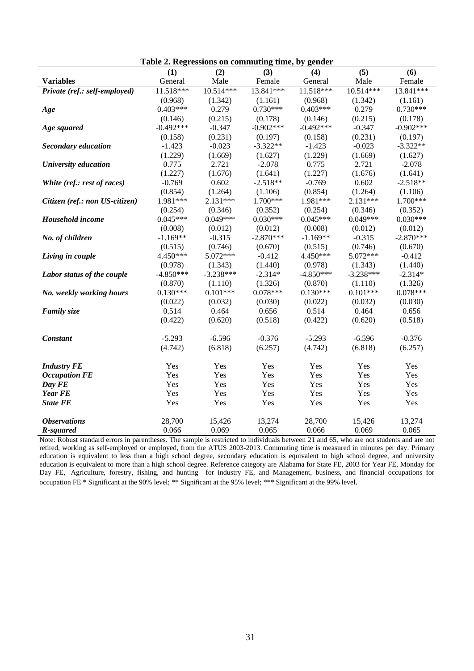| radic 2. Regressions on commuting time, by genuer |             |             |             |             |                  |             |  |  |  |  |
|---------------------------------------------------|-------------|-------------|-------------|-------------|------------------|-------------|--|--|--|--|
|                                                   | (1)         | (2)         | (3)         | (4)         | $\overline{(5)}$ | (6)         |  |  |  |  |
| <b>Variables</b>                                  | General     | Male        | Female      | General     | Male             | Female      |  |  |  |  |
| Private (ref.: self-employed)                     | 11.518***   | $10.514***$ | 13.841***   | $11.518***$ | $10.514***$      | 13.841***   |  |  |  |  |
|                                                   | (0.968)     | (1.342)     | (1.161)     | (0.968)     | (1.342)          | (1.161)     |  |  |  |  |
| Age                                               | $0.403***$  | 0.279       | $0.730***$  | $0.403***$  | 0.279            | $0.730***$  |  |  |  |  |
|                                                   | (0.146)     | (0.215)     | (0.178)     | (0.146)     | (0.215)          | (0.178)     |  |  |  |  |
| Age squared                                       | $-0.492***$ | $-0.347$    | $-0.902***$ | $-0.492***$ | $-0.347$         | $-0.902***$ |  |  |  |  |
|                                                   | (0.158)     | (0.231)     | (0.197)     | (0.158)     | (0.231)          | (0.197)     |  |  |  |  |
| <b>Secondary education</b>                        | $-1.423$    | $-0.023$    | $-3.322**$  | $-1.423$    | $-0.023$         | $-3.322**$  |  |  |  |  |
|                                                   | (1.229)     | (1.669)     | (1.627)     | (1.229)     | (1.669)          | (1.627)     |  |  |  |  |
| University education                              | 0.775       | 2.721       | $-2.078$    | 0.775       | 2.721            | $-2.078$    |  |  |  |  |
|                                                   | (1.227)     | (1.676)     | (1.641)     | (1.227)     | (1.676)          | (1.641)     |  |  |  |  |
| White (ref.: rest of races)                       | $-0.769$    | 0.602       | $-2.518**$  | $-0.769$    | 0.602            | $-2.518**$  |  |  |  |  |
|                                                   | (0.854)     | (1.264)     | (1.106)     | (0.854)     | (1.264)          | (1.106)     |  |  |  |  |
| Citizen (ref.: non US-citizen)                    | 1.981***    | $2.131***$  | 1.700***    | 1.981***    | $2.131***$       | 1.700***    |  |  |  |  |
|                                                   | (0.254)     | (0.346)     | (0.352)     | (0.254)     | (0.346)          | (0.352)     |  |  |  |  |
| Household income                                  | $0.045***$  | $0.049***$  | $0.030***$  | $0.045***$  | $0.049***$       | $0.030***$  |  |  |  |  |
|                                                   | (0.008)     | (0.012)     | (0.012)     | (0.008)     | (0.012)          | (0.012)     |  |  |  |  |
| No. of children                                   | $-1.169**$  | $-0.315$    | $-2.870***$ | $-1.169**$  | $-0.315$         | $-2.870***$ |  |  |  |  |
|                                                   | (0.515)     | (0.746)     | (0.670)     | (0.515)     | (0.746)          | (0.670)     |  |  |  |  |
| Living in couple                                  | 4.450***    | 5.072***    | $-0.412$    | 4.450***    | 5.072***         | $-0.412$    |  |  |  |  |
|                                                   | (0.978)     | (1.343)     | (1.440)     | (0.978)     | (1.343)          | (1.440)     |  |  |  |  |
| Labor status of the couple                        | $-4.850***$ | $-3.238***$ | $-2.314*$   | $-4.850***$ | $-3.238***$      | $-2.314*$   |  |  |  |  |
|                                                   | (0.870)     | (1.110)     | (1.326)     | (0.870)     | (1.110)          | (1.326)     |  |  |  |  |
| No. weekly working hours                          | $0.130***$  | $0.101***$  | $0.078***$  | $0.130***$  | $0.101***$       | $0.078***$  |  |  |  |  |
|                                                   | (0.022)     | (0.032)     | (0.030)     | (0.022)     | (0.032)          | (0.030)     |  |  |  |  |
| <b>Family size</b>                                | 0.514       | 0.464       | 0.656       | 0.514       | 0.464            | 0.656       |  |  |  |  |
|                                                   | (0.422)     | (0.620)     | (0.518)     | (0.422)     | (0.620)          | (0.518)     |  |  |  |  |
|                                                   |             |             |             |             |                  |             |  |  |  |  |
| <b>Constant</b>                                   | $-5.293$    | $-6.596$    | $-0.376$    | $-5.293$    | $-6.596$         | $-0.376$    |  |  |  |  |
|                                                   | (4.742)     | (6.818)     | (6.257)     | (4.742)     | (6.818)          | (6.257)     |  |  |  |  |
|                                                   |             |             |             |             |                  |             |  |  |  |  |
| <b>Industry FE</b>                                | Yes         | Yes         | Yes         | Yes         | Yes              | Yes         |  |  |  |  |
| <b>Occupation FE</b>                              | Yes         | Yes         | Yes         | Yes         | Yes              | Yes         |  |  |  |  |
| Day FE                                            | Yes         | Yes         | Yes         | Yes         | Yes              | Yes         |  |  |  |  |
| <b>Year FE</b>                                    | Yes         | Yes         | Yes         | Yes         | Yes              | Yes         |  |  |  |  |
| <b>State FE</b>                                   | Yes         | Yes         | Yes         | Yes         | Yes              | Yes         |  |  |  |  |
| <b>Observations</b>                               | 28,700      | 15,426      | 13,274      | 28,700      | 15,426           | 13,274      |  |  |  |  |
| R-squared                                         | 0.066       | 0.069       | 0.065       | 0.066       | 0.069            | 0.065       |  |  |  |  |

**Table 2. Regressions on commuting time, by gender** 

Note: Robust standard errors in parentheses. The sample is restricted to individuals between 21 and 65, who are not students and are not retired, working as self-employed or employed, from the ATUS 2003-2013. Commuting time is measured in minutes per day. Primary education is equivalent to less than a high school degree, secondary education is equivalent to high school degree, and university education is equivalent to more than a high school degree. Reference category are Alabama for State FE, 2003 for Year FE, Monday for Day FE, Agriculture, forestry, fishing, and hunting for industry FE, and Management, business, and financial occupations for occupation FE \* Significant at the 90% level; \*\* Significant at the 95% level; \*\*\* Significant at the 99% level.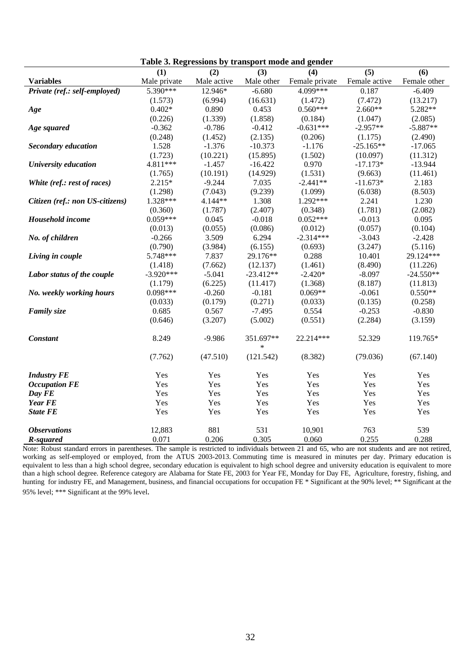|                                 | raoic of inegressions by transport moue and genuer |             |                     |                |                  |              |
|---------------------------------|----------------------------------------------------|-------------|---------------------|----------------|------------------|--------------|
|                                 | (1)                                                | (2)         | (3)                 | (4)            | $\overline{(5)}$ | (6)          |
| <b>Variables</b>                | Male private                                       | Male active | Male other          | Female private | Female active    | Female other |
| Private (ref.: self-employed)   | 5.390***                                           | 12.946*     | $-6.680$            | 4.099***       | 0.187            | $-6.409$     |
|                                 | (1.573)                                            | (6.994)     | (16.631)            | (1.472)        | (7.472)          | (13.217)     |
| Age                             | $0.402*$                                           | 0.890       | 0.453               | $0.560***$     | $2.660**$        | 5.282**      |
|                                 | (0.226)                                            | (1.339)     | (1.858)             | (0.184)        | (1.047)          | (2.085)      |
| Age squared                     | $-0.362$                                           | $-0.786$    | $-0.412$            | $-0.631***$    | $-2.957**$       | $-5.887**$   |
|                                 | (0.248)                                            | (1.452)     | (2.135)             | (0.206)        | (1.175)          | (2.490)      |
| <b>Secondary education</b>      | 1.528                                              | $-1.376$    | $-10.373$           | $-1.176$       | $-25.165**$      | $-17.065$    |
|                                 | (1.723)                                            | (10.221)    | (15.895)            | (1.502)        | (10.097)         | (11.312)     |
| University education            | 4.811***                                           | $-1.457$    | $-16.422$           | 0.970          | $-17.173*$       | $-13.944$    |
|                                 | (1.765)                                            | (10.191)    | (14.929)            | (1.531)        | (9.663)          | (11.461)     |
| White (ref.: rest of races)     | $2.215*$                                           | $-9.244$    | 7.035               | $-2.441**$     | $-11.673*$       | 2.183        |
|                                 | (1.298)                                            | (7.043)     | (9.239)             | (1.099)        | (6.038)          | (8.503)      |
| Citizen (ref.: non US-citizens) | 1.328***                                           | 4.144**     | 1.308               | 1.292***       | 2.241            | 1.230        |
|                                 | (0.360)                                            | (1.787)     | (2.407)             | (0.348)        | (1.781)          | (2.082)      |
| Household income                | $0.059***$                                         | 0.045       | $-0.018$            | $0.052***$     | $-0.013$         | 0.095        |
|                                 | (0.013)                                            | (0.055)     | (0.086)             | (0.012)        | (0.057)          | (0.104)      |
| No. of children                 | $-0.266$                                           | 3.509       | 6.294               | $-2.314***$    | $-3.043$         | $-2.428$     |
|                                 | (0.790)                                            | (3.984)     | (6.155)             | (0.693)        | (3.247)          | (5.116)      |
| Living in couple                | 5.748***                                           | 7.837       | 29.176**            | 0.288          | 10.401           | 29.124***    |
|                                 | (1.418)                                            | (7.662)     | (12.137)            | (1.461)        | (8.490)          | (11.226)     |
| Labor status of the couple      | $-3.920***$                                        | $-5.041$    | $-23.412**$         | $-2.420*$      | $-8.097$         | $-24.550**$  |
|                                 | (1.179)                                            | (6.225)     | (11.417)            | (1.368)        | (8.187)          | (11.813)     |
| No. weekly working hours        | $0.098***$                                         | $-0.260$    | $-0.181$            | $0.069**$      | $-0.061$         | $0.550**$    |
|                                 | (0.033)                                            | (0.179)     | (0.271)             | (0.033)        | (0.135)          | (0.258)      |
| <b>Family size</b>              | 0.685                                              | 0.567       | $-7.495$            | 0.554          | $-0.253$         | $-0.830$     |
|                                 | (0.646)                                            | (3.207)     | (5.002)             | (0.551)        | (2.284)          | (3.159)      |
| <b>Constant</b>                 | 8.249                                              | $-9.986$    | 351.697**<br>$\ast$ | 22.214***      | 52.329           | 119.765*     |
|                                 | (7.762)                                            | (47.510)    | (121.542)           | (8.382)        | (79.036)         | (67.140)     |
| <b>Industry FE</b>              | Yes                                                | Yes         | Yes                 | Yes            | Yes              | Yes          |
| <b>Occupation FE</b>            | Yes                                                | Yes         | Yes                 | Yes            | Yes              | Yes          |
| Day FE                          | Yes                                                | Yes         | Yes                 | Yes            | Yes              | Yes          |
| <b>Year FE</b>                  | Yes                                                | Yes         | Yes                 | Yes            | Yes              | Yes          |
| <b>State FE</b>                 | Yes                                                | Yes         | Yes                 | Yes            | Yes              | Yes          |
| <b>Observations</b>             | 12,883                                             | 881         | 531                 | 10,901         | 763              | 539          |
| R-squared                       | 0.071                                              | 0.206       | 0.305               | 0.060          | 0.255            | 0.288        |

**Table 3. Regressions by transport mode and gender** 

Note: Robust standard errors in parentheses. The sample is restricted to individuals between 21 and 65, who are not students and are not retired, working as self-employed or employed, from the ATUS 2003-2013. Commuting time is measured in minutes per day. Primary education is equivalent to less than a high school degree, secondary education is equivalent to high school degree and university education is equivalent to more than a high school degree. Reference category are Alabama for State FE, 2003 for Year FE, Monday for Day FE, Agriculture, forestry, fishing, and hunting for industry FE, and Management, business, and financial occupations for occupation FE \* Significant at the 90% level; \*\* Significant at the 95% level; \*\*\* Significant at the 99% level.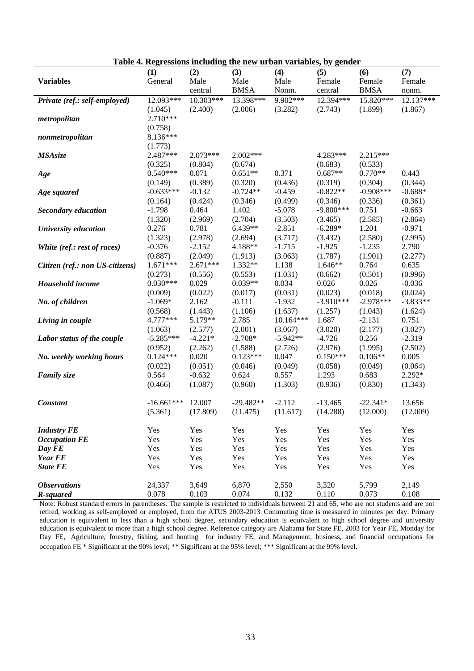| Male<br>Male<br><b>Variables</b><br>Male<br>Female<br>Female<br>General<br>Female<br><b>BMSA</b><br><b>BMSA</b><br>Nonm.<br>central<br>central<br>nonm.<br>9.902***<br>Private (ref.: self-employed)<br>12.093***<br>10.303***<br>13.398***<br>12.394***<br>15.820***<br>12.137***<br>(1.045)<br>(2.400)<br>(2.006)<br>(3.282)<br>(2.743)<br>(1.899)<br>(1.867)<br>$2.710***$<br>metropolitan<br>(0.758)<br>8.136***<br>nonmetropolitan<br>(1.773)<br>2.487***<br>$2.002***$<br>$2.215***$<br>2.073***<br>4.283***<br><b>MSAsize</b><br>(0.533)<br>(0.325)<br>(0.804)<br>(0.674)<br>(0.683)<br>$0.540***$<br>$0.651**$<br>$0.687**$<br>$0.770**$<br>0.071<br>0.371<br>0.443<br>Age<br>(0.389)<br>(0.320)<br>(0.436)<br>(0.319)<br>(0.304)<br>(0.344)<br>(0.149)<br>$-0.908***$<br>$-0.633***$<br>$-0.132$<br>$-0.724**$<br>$-0.459$<br>$-0.822**$<br>$-0.688*$<br>Age squared<br>(0.424)<br>(0.346)<br>(0.499)<br>(0.346)<br>(0.336)<br>(0.164)<br>(0.361)<br>1.402<br>$-5.078$<br>$-9.800***$<br>0.751<br>$-1.798$<br>0.464<br>$-0.663$<br><b>Secondary education</b><br>(2.969)<br>(2.704)<br>(3.503)<br>(2.585)<br>(2.864)<br>(1.320)<br>(3.465)<br>0.781<br>6.439**<br>$-2.851$<br>1.201<br>$-0.971$<br>University education<br>0.276<br>$-6.289*$<br>(2.995)<br>(1.323)<br>(2.978)<br>(2.694)<br>(3.717)<br>(3.432)<br>(2.580)<br>$-0.376$<br>$-2.152$<br>4.188**<br>$-1.715$<br>$-1.925$<br>$-1.235$<br>2.790<br>White (ref.: rest of races)<br>(0.887)<br>(2.049)<br>(3.063)<br>(1.787)<br>(1.901)<br>(2.277)<br>(1.913)<br>$1.671***$<br>$2.671***$<br>1.332**<br>1.138<br>1.646**<br>0.764<br>0.635<br>Citizen (ref.: non US-citizens)<br>(0.273)<br>(0.556)<br>(0.553)<br>(1.031)<br>(0.662)<br>(0.501)<br>(0.996)<br>$0.030***$<br>$0.039**$<br>Household income<br>0.029<br>0.034<br>0.026<br>0.026<br>$-0.036$<br>(0.022)<br>(0.017)<br>(0.031)<br>(0.018)<br>(0.009)<br>(0.023)<br>(0.024)<br>$-2.978***$<br>$-3.833**$<br>2.162<br>$-0.111$<br>$-1.932$<br>$-3.910***$<br>No. of children<br>$-1.069*$<br>(1.637)<br>(1.257)<br>(0.568)<br>(1.443)<br>(1.106)<br>(1.043)<br>(1.624)<br>4.777***<br>5.179**<br>2.785<br>10.164***<br>1.687<br>$-2.131$<br>0.751<br>Living in couple<br>(2.177)<br>(1.063)<br>(2.577)<br>(2.001)<br>(3.067)<br>(3.020)<br>(3.027)<br>$-5.285***$<br>$-4.221*$<br>$-2.708*$<br>$-5.942**$<br>$-4.726$<br>0.256<br>$-2.319$<br>Labor status of the couple<br>(2.262)<br>(2.726)<br>(2.976)<br>(1.995)<br>(2.502)<br>(0.952)<br>(1.588)<br>$0.123***$<br>$0.150***$<br>$0.106**$<br>$0.124***$<br>0.020<br>0.047<br>0.005<br>No. weekly working hours<br>(0.049)<br>(0.022)<br>(0.051)<br>(0.046)<br>(0.058)<br>(0.049)<br>(0.064)<br>$2.292*$<br>0.564<br>$-0.632$<br>0.624<br>0.557<br>1.293<br>0.683<br><b>Family size</b><br>(0.466)<br>(1.087)<br>(0.960)<br>(1.303)<br>(0.936)<br>(0.830)<br>(1.343)<br>$-16.661***$<br>12.007<br>$-29.482**$<br>$-2.112$<br>$-13.465$<br>$-22.341*$<br>13.656<br><b>Constant</b><br>(12.000)<br>(5.361)<br>(17.809)<br>(11.475)<br>(11.617)<br>(14.288)<br>(12.009)<br>Yes<br>Yes<br>Yes<br>Yes<br><b>Industry FE</b><br>Yes<br>Yes<br>Yes<br>Yes<br><b>Occupation FE</b><br>Yes<br>Yes<br>Yes<br>Yes<br>Yes<br>Yes<br>Yes<br>Yes<br>Yes<br>Yes<br>Yes<br>Day FE<br>Yes<br>Yes<br><b>Year FE</b><br>Yes<br>Yes<br>Yes<br>Yes<br>Yes<br>Yes<br>Yes<br><b>State FE</b><br>Yes<br>Yes<br>Yes<br>Yes<br>Yes<br>Yes<br>Yes<br><b>Observations</b><br>24,337<br>3,649<br>6,870<br>2,550<br>3,320<br>5,799<br>2,149<br>0.074<br>R-squared<br>0.078<br>0.103<br>0.132<br>0.110<br>0.073<br>0.108 | Lable 4. Regressions including the new drivan variables, by genuer |     |     |     |     |     |     |
|---------------------------------------------------------------------------------------------------------------------------------------------------------------------------------------------------------------------------------------------------------------------------------------------------------------------------------------------------------------------------------------------------------------------------------------------------------------------------------------------------------------------------------------------------------------------------------------------------------------------------------------------------------------------------------------------------------------------------------------------------------------------------------------------------------------------------------------------------------------------------------------------------------------------------------------------------------------------------------------------------------------------------------------------------------------------------------------------------------------------------------------------------------------------------------------------------------------------------------------------------------------------------------------------------------------------------------------------------------------------------------------------------------------------------------------------------------------------------------------------------------------------------------------------------------------------------------------------------------------------------------------------------------------------------------------------------------------------------------------------------------------------------------------------------------------------------------------------------------------------------------------------------------------------------------------------------------------------------------------------------------------------------------------------------------------------------------------------------------------------------------------------------------------------------------------------------------------------------------------------------------------------------------------------------------------------------------------------------------------------------------------------------------------------------------------------------------------------------------------------------------------------------------------------------------------------------------------------------------------------------------------------------------------------------------------------------------------------------------------------------------------------------------------------------------------------------------------------------------------------------------------------------------------------------------------------------------------------------------------------------------------------------------------------------------------------------------------------------------------------------------------------------------------------------------------------------------------------------------------------------------------------------------------------------------------------------------------------------------------------------------------------------------------------------------------------------------------------------------------------------------------------------------------------------------------------------|--------------------------------------------------------------------|-----|-----|-----|-----|-----|-----|
|                                                                                                                                                                                                                                                                                                                                                                                                                                                                                                                                                                                                                                                                                                                                                                                                                                                                                                                                                                                                                                                                                                                                                                                                                                                                                                                                                                                                                                                                                                                                                                                                                                                                                                                                                                                                                                                                                                                                                                                                                                                                                                                                                                                                                                                                                                                                                                                                                                                                                                                                                                                                                                                                                                                                                                                                                                                                                                                                                                                                                                                                                                                                                                                                                                                                                                                                                                                                                                                                                                                                                                           | (1)                                                                | (2) | (3) | (4) | (5) | (6) | (7) |
|                                                                                                                                                                                                                                                                                                                                                                                                                                                                                                                                                                                                                                                                                                                                                                                                                                                                                                                                                                                                                                                                                                                                                                                                                                                                                                                                                                                                                                                                                                                                                                                                                                                                                                                                                                                                                                                                                                                                                                                                                                                                                                                                                                                                                                                                                                                                                                                                                                                                                                                                                                                                                                                                                                                                                                                                                                                                                                                                                                                                                                                                                                                                                                                                                                                                                                                                                                                                                                                                                                                                                                           |                                                                    |     |     |     |     |     |     |
|                                                                                                                                                                                                                                                                                                                                                                                                                                                                                                                                                                                                                                                                                                                                                                                                                                                                                                                                                                                                                                                                                                                                                                                                                                                                                                                                                                                                                                                                                                                                                                                                                                                                                                                                                                                                                                                                                                                                                                                                                                                                                                                                                                                                                                                                                                                                                                                                                                                                                                                                                                                                                                                                                                                                                                                                                                                                                                                                                                                                                                                                                                                                                                                                                                                                                                                                                                                                                                                                                                                                                                           |                                                                    |     |     |     |     |     |     |
|                                                                                                                                                                                                                                                                                                                                                                                                                                                                                                                                                                                                                                                                                                                                                                                                                                                                                                                                                                                                                                                                                                                                                                                                                                                                                                                                                                                                                                                                                                                                                                                                                                                                                                                                                                                                                                                                                                                                                                                                                                                                                                                                                                                                                                                                                                                                                                                                                                                                                                                                                                                                                                                                                                                                                                                                                                                                                                                                                                                                                                                                                                                                                                                                                                                                                                                                                                                                                                                                                                                                                                           |                                                                    |     |     |     |     |     |     |
|                                                                                                                                                                                                                                                                                                                                                                                                                                                                                                                                                                                                                                                                                                                                                                                                                                                                                                                                                                                                                                                                                                                                                                                                                                                                                                                                                                                                                                                                                                                                                                                                                                                                                                                                                                                                                                                                                                                                                                                                                                                                                                                                                                                                                                                                                                                                                                                                                                                                                                                                                                                                                                                                                                                                                                                                                                                                                                                                                                                                                                                                                                                                                                                                                                                                                                                                                                                                                                                                                                                                                                           |                                                                    |     |     |     |     |     |     |
|                                                                                                                                                                                                                                                                                                                                                                                                                                                                                                                                                                                                                                                                                                                                                                                                                                                                                                                                                                                                                                                                                                                                                                                                                                                                                                                                                                                                                                                                                                                                                                                                                                                                                                                                                                                                                                                                                                                                                                                                                                                                                                                                                                                                                                                                                                                                                                                                                                                                                                                                                                                                                                                                                                                                                                                                                                                                                                                                                                                                                                                                                                                                                                                                                                                                                                                                                                                                                                                                                                                                                                           |                                                                    |     |     |     |     |     |     |
|                                                                                                                                                                                                                                                                                                                                                                                                                                                                                                                                                                                                                                                                                                                                                                                                                                                                                                                                                                                                                                                                                                                                                                                                                                                                                                                                                                                                                                                                                                                                                                                                                                                                                                                                                                                                                                                                                                                                                                                                                                                                                                                                                                                                                                                                                                                                                                                                                                                                                                                                                                                                                                                                                                                                                                                                                                                                                                                                                                                                                                                                                                                                                                                                                                                                                                                                                                                                                                                                                                                                                                           |                                                                    |     |     |     |     |     |     |
|                                                                                                                                                                                                                                                                                                                                                                                                                                                                                                                                                                                                                                                                                                                                                                                                                                                                                                                                                                                                                                                                                                                                                                                                                                                                                                                                                                                                                                                                                                                                                                                                                                                                                                                                                                                                                                                                                                                                                                                                                                                                                                                                                                                                                                                                                                                                                                                                                                                                                                                                                                                                                                                                                                                                                                                                                                                                                                                                                                                                                                                                                                                                                                                                                                                                                                                                                                                                                                                                                                                                                                           |                                                                    |     |     |     |     |     |     |
|                                                                                                                                                                                                                                                                                                                                                                                                                                                                                                                                                                                                                                                                                                                                                                                                                                                                                                                                                                                                                                                                                                                                                                                                                                                                                                                                                                                                                                                                                                                                                                                                                                                                                                                                                                                                                                                                                                                                                                                                                                                                                                                                                                                                                                                                                                                                                                                                                                                                                                                                                                                                                                                                                                                                                                                                                                                                                                                                                                                                                                                                                                                                                                                                                                                                                                                                                                                                                                                                                                                                                                           |                                                                    |     |     |     |     |     |     |
|                                                                                                                                                                                                                                                                                                                                                                                                                                                                                                                                                                                                                                                                                                                                                                                                                                                                                                                                                                                                                                                                                                                                                                                                                                                                                                                                                                                                                                                                                                                                                                                                                                                                                                                                                                                                                                                                                                                                                                                                                                                                                                                                                                                                                                                                                                                                                                                                                                                                                                                                                                                                                                                                                                                                                                                                                                                                                                                                                                                                                                                                                                                                                                                                                                                                                                                                                                                                                                                                                                                                                                           |                                                                    |     |     |     |     |     |     |
|                                                                                                                                                                                                                                                                                                                                                                                                                                                                                                                                                                                                                                                                                                                                                                                                                                                                                                                                                                                                                                                                                                                                                                                                                                                                                                                                                                                                                                                                                                                                                                                                                                                                                                                                                                                                                                                                                                                                                                                                                                                                                                                                                                                                                                                                                                                                                                                                                                                                                                                                                                                                                                                                                                                                                                                                                                                                                                                                                                                                                                                                                                                                                                                                                                                                                                                                                                                                                                                                                                                                                                           |                                                                    |     |     |     |     |     |     |
|                                                                                                                                                                                                                                                                                                                                                                                                                                                                                                                                                                                                                                                                                                                                                                                                                                                                                                                                                                                                                                                                                                                                                                                                                                                                                                                                                                                                                                                                                                                                                                                                                                                                                                                                                                                                                                                                                                                                                                                                                                                                                                                                                                                                                                                                                                                                                                                                                                                                                                                                                                                                                                                                                                                                                                                                                                                                                                                                                                                                                                                                                                                                                                                                                                                                                                                                                                                                                                                                                                                                                                           |                                                                    |     |     |     |     |     |     |
|                                                                                                                                                                                                                                                                                                                                                                                                                                                                                                                                                                                                                                                                                                                                                                                                                                                                                                                                                                                                                                                                                                                                                                                                                                                                                                                                                                                                                                                                                                                                                                                                                                                                                                                                                                                                                                                                                                                                                                                                                                                                                                                                                                                                                                                                                                                                                                                                                                                                                                                                                                                                                                                                                                                                                                                                                                                                                                                                                                                                                                                                                                                                                                                                                                                                                                                                                                                                                                                                                                                                                                           |                                                                    |     |     |     |     |     |     |
|                                                                                                                                                                                                                                                                                                                                                                                                                                                                                                                                                                                                                                                                                                                                                                                                                                                                                                                                                                                                                                                                                                                                                                                                                                                                                                                                                                                                                                                                                                                                                                                                                                                                                                                                                                                                                                                                                                                                                                                                                                                                                                                                                                                                                                                                                                                                                                                                                                                                                                                                                                                                                                                                                                                                                                                                                                                                                                                                                                                                                                                                                                                                                                                                                                                                                                                                                                                                                                                                                                                                                                           |                                                                    |     |     |     |     |     |     |
|                                                                                                                                                                                                                                                                                                                                                                                                                                                                                                                                                                                                                                                                                                                                                                                                                                                                                                                                                                                                                                                                                                                                                                                                                                                                                                                                                                                                                                                                                                                                                                                                                                                                                                                                                                                                                                                                                                                                                                                                                                                                                                                                                                                                                                                                                                                                                                                                                                                                                                                                                                                                                                                                                                                                                                                                                                                                                                                                                                                                                                                                                                                                                                                                                                                                                                                                                                                                                                                                                                                                                                           |                                                                    |     |     |     |     |     |     |
|                                                                                                                                                                                                                                                                                                                                                                                                                                                                                                                                                                                                                                                                                                                                                                                                                                                                                                                                                                                                                                                                                                                                                                                                                                                                                                                                                                                                                                                                                                                                                                                                                                                                                                                                                                                                                                                                                                                                                                                                                                                                                                                                                                                                                                                                                                                                                                                                                                                                                                                                                                                                                                                                                                                                                                                                                                                                                                                                                                                                                                                                                                                                                                                                                                                                                                                                                                                                                                                                                                                                                                           |                                                                    |     |     |     |     |     |     |
|                                                                                                                                                                                                                                                                                                                                                                                                                                                                                                                                                                                                                                                                                                                                                                                                                                                                                                                                                                                                                                                                                                                                                                                                                                                                                                                                                                                                                                                                                                                                                                                                                                                                                                                                                                                                                                                                                                                                                                                                                                                                                                                                                                                                                                                                                                                                                                                                                                                                                                                                                                                                                                                                                                                                                                                                                                                                                                                                                                                                                                                                                                                                                                                                                                                                                                                                                                                                                                                                                                                                                                           |                                                                    |     |     |     |     |     |     |
|                                                                                                                                                                                                                                                                                                                                                                                                                                                                                                                                                                                                                                                                                                                                                                                                                                                                                                                                                                                                                                                                                                                                                                                                                                                                                                                                                                                                                                                                                                                                                                                                                                                                                                                                                                                                                                                                                                                                                                                                                                                                                                                                                                                                                                                                                                                                                                                                                                                                                                                                                                                                                                                                                                                                                                                                                                                                                                                                                                                                                                                                                                                                                                                                                                                                                                                                                                                                                                                                                                                                                                           |                                                                    |     |     |     |     |     |     |
|                                                                                                                                                                                                                                                                                                                                                                                                                                                                                                                                                                                                                                                                                                                                                                                                                                                                                                                                                                                                                                                                                                                                                                                                                                                                                                                                                                                                                                                                                                                                                                                                                                                                                                                                                                                                                                                                                                                                                                                                                                                                                                                                                                                                                                                                                                                                                                                                                                                                                                                                                                                                                                                                                                                                                                                                                                                                                                                                                                                                                                                                                                                                                                                                                                                                                                                                                                                                                                                                                                                                                                           |                                                                    |     |     |     |     |     |     |
|                                                                                                                                                                                                                                                                                                                                                                                                                                                                                                                                                                                                                                                                                                                                                                                                                                                                                                                                                                                                                                                                                                                                                                                                                                                                                                                                                                                                                                                                                                                                                                                                                                                                                                                                                                                                                                                                                                                                                                                                                                                                                                                                                                                                                                                                                                                                                                                                                                                                                                                                                                                                                                                                                                                                                                                                                                                                                                                                                                                                                                                                                                                                                                                                                                                                                                                                                                                                                                                                                                                                                                           |                                                                    |     |     |     |     |     |     |
|                                                                                                                                                                                                                                                                                                                                                                                                                                                                                                                                                                                                                                                                                                                                                                                                                                                                                                                                                                                                                                                                                                                                                                                                                                                                                                                                                                                                                                                                                                                                                                                                                                                                                                                                                                                                                                                                                                                                                                                                                                                                                                                                                                                                                                                                                                                                                                                                                                                                                                                                                                                                                                                                                                                                                                                                                                                                                                                                                                                                                                                                                                                                                                                                                                                                                                                                                                                                                                                                                                                                                                           |                                                                    |     |     |     |     |     |     |
|                                                                                                                                                                                                                                                                                                                                                                                                                                                                                                                                                                                                                                                                                                                                                                                                                                                                                                                                                                                                                                                                                                                                                                                                                                                                                                                                                                                                                                                                                                                                                                                                                                                                                                                                                                                                                                                                                                                                                                                                                                                                                                                                                                                                                                                                                                                                                                                                                                                                                                                                                                                                                                                                                                                                                                                                                                                                                                                                                                                                                                                                                                                                                                                                                                                                                                                                                                                                                                                                                                                                                                           |                                                                    |     |     |     |     |     |     |
|                                                                                                                                                                                                                                                                                                                                                                                                                                                                                                                                                                                                                                                                                                                                                                                                                                                                                                                                                                                                                                                                                                                                                                                                                                                                                                                                                                                                                                                                                                                                                                                                                                                                                                                                                                                                                                                                                                                                                                                                                                                                                                                                                                                                                                                                                                                                                                                                                                                                                                                                                                                                                                                                                                                                                                                                                                                                                                                                                                                                                                                                                                                                                                                                                                                                                                                                                                                                                                                                                                                                                                           |                                                                    |     |     |     |     |     |     |
|                                                                                                                                                                                                                                                                                                                                                                                                                                                                                                                                                                                                                                                                                                                                                                                                                                                                                                                                                                                                                                                                                                                                                                                                                                                                                                                                                                                                                                                                                                                                                                                                                                                                                                                                                                                                                                                                                                                                                                                                                                                                                                                                                                                                                                                                                                                                                                                                                                                                                                                                                                                                                                                                                                                                                                                                                                                                                                                                                                                                                                                                                                                                                                                                                                                                                                                                                                                                                                                                                                                                                                           |                                                                    |     |     |     |     |     |     |
|                                                                                                                                                                                                                                                                                                                                                                                                                                                                                                                                                                                                                                                                                                                                                                                                                                                                                                                                                                                                                                                                                                                                                                                                                                                                                                                                                                                                                                                                                                                                                                                                                                                                                                                                                                                                                                                                                                                                                                                                                                                                                                                                                                                                                                                                                                                                                                                                                                                                                                                                                                                                                                                                                                                                                                                                                                                                                                                                                                                                                                                                                                                                                                                                                                                                                                                                                                                                                                                                                                                                                                           |                                                                    |     |     |     |     |     |     |
|                                                                                                                                                                                                                                                                                                                                                                                                                                                                                                                                                                                                                                                                                                                                                                                                                                                                                                                                                                                                                                                                                                                                                                                                                                                                                                                                                                                                                                                                                                                                                                                                                                                                                                                                                                                                                                                                                                                                                                                                                                                                                                                                                                                                                                                                                                                                                                                                                                                                                                                                                                                                                                                                                                                                                                                                                                                                                                                                                                                                                                                                                                                                                                                                                                                                                                                                                                                                                                                                                                                                                                           |                                                                    |     |     |     |     |     |     |
|                                                                                                                                                                                                                                                                                                                                                                                                                                                                                                                                                                                                                                                                                                                                                                                                                                                                                                                                                                                                                                                                                                                                                                                                                                                                                                                                                                                                                                                                                                                                                                                                                                                                                                                                                                                                                                                                                                                                                                                                                                                                                                                                                                                                                                                                                                                                                                                                                                                                                                                                                                                                                                                                                                                                                                                                                                                                                                                                                                                                                                                                                                                                                                                                                                                                                                                                                                                                                                                                                                                                                                           |                                                                    |     |     |     |     |     |     |
|                                                                                                                                                                                                                                                                                                                                                                                                                                                                                                                                                                                                                                                                                                                                                                                                                                                                                                                                                                                                                                                                                                                                                                                                                                                                                                                                                                                                                                                                                                                                                                                                                                                                                                                                                                                                                                                                                                                                                                                                                                                                                                                                                                                                                                                                                                                                                                                                                                                                                                                                                                                                                                                                                                                                                                                                                                                                                                                                                                                                                                                                                                                                                                                                                                                                                                                                                                                                                                                                                                                                                                           |                                                                    |     |     |     |     |     |     |
|                                                                                                                                                                                                                                                                                                                                                                                                                                                                                                                                                                                                                                                                                                                                                                                                                                                                                                                                                                                                                                                                                                                                                                                                                                                                                                                                                                                                                                                                                                                                                                                                                                                                                                                                                                                                                                                                                                                                                                                                                                                                                                                                                                                                                                                                                                                                                                                                                                                                                                                                                                                                                                                                                                                                                                                                                                                                                                                                                                                                                                                                                                                                                                                                                                                                                                                                                                                                                                                                                                                                                                           |                                                                    |     |     |     |     |     |     |
|                                                                                                                                                                                                                                                                                                                                                                                                                                                                                                                                                                                                                                                                                                                                                                                                                                                                                                                                                                                                                                                                                                                                                                                                                                                                                                                                                                                                                                                                                                                                                                                                                                                                                                                                                                                                                                                                                                                                                                                                                                                                                                                                                                                                                                                                                                                                                                                                                                                                                                                                                                                                                                                                                                                                                                                                                                                                                                                                                                                                                                                                                                                                                                                                                                                                                                                                                                                                                                                                                                                                                                           |                                                                    |     |     |     |     |     |     |
|                                                                                                                                                                                                                                                                                                                                                                                                                                                                                                                                                                                                                                                                                                                                                                                                                                                                                                                                                                                                                                                                                                                                                                                                                                                                                                                                                                                                                                                                                                                                                                                                                                                                                                                                                                                                                                                                                                                                                                                                                                                                                                                                                                                                                                                                                                                                                                                                                                                                                                                                                                                                                                                                                                                                                                                                                                                                                                                                                                                                                                                                                                                                                                                                                                                                                                                                                                                                                                                                                                                                                                           |                                                                    |     |     |     |     |     |     |
|                                                                                                                                                                                                                                                                                                                                                                                                                                                                                                                                                                                                                                                                                                                                                                                                                                                                                                                                                                                                                                                                                                                                                                                                                                                                                                                                                                                                                                                                                                                                                                                                                                                                                                                                                                                                                                                                                                                                                                                                                                                                                                                                                                                                                                                                                                                                                                                                                                                                                                                                                                                                                                                                                                                                                                                                                                                                                                                                                                                                                                                                                                                                                                                                                                                                                                                                                                                                                                                                                                                                                                           |                                                                    |     |     |     |     |     |     |
|                                                                                                                                                                                                                                                                                                                                                                                                                                                                                                                                                                                                                                                                                                                                                                                                                                                                                                                                                                                                                                                                                                                                                                                                                                                                                                                                                                                                                                                                                                                                                                                                                                                                                                                                                                                                                                                                                                                                                                                                                                                                                                                                                                                                                                                                                                                                                                                                                                                                                                                                                                                                                                                                                                                                                                                                                                                                                                                                                                                                                                                                                                                                                                                                                                                                                                                                                                                                                                                                                                                                                                           |                                                                    |     |     |     |     |     |     |
|                                                                                                                                                                                                                                                                                                                                                                                                                                                                                                                                                                                                                                                                                                                                                                                                                                                                                                                                                                                                                                                                                                                                                                                                                                                                                                                                                                                                                                                                                                                                                                                                                                                                                                                                                                                                                                                                                                                                                                                                                                                                                                                                                                                                                                                                                                                                                                                                                                                                                                                                                                                                                                                                                                                                                                                                                                                                                                                                                                                                                                                                                                                                                                                                                                                                                                                                                                                                                                                                                                                                                                           |                                                                    |     |     |     |     |     |     |
|                                                                                                                                                                                                                                                                                                                                                                                                                                                                                                                                                                                                                                                                                                                                                                                                                                                                                                                                                                                                                                                                                                                                                                                                                                                                                                                                                                                                                                                                                                                                                                                                                                                                                                                                                                                                                                                                                                                                                                                                                                                                                                                                                                                                                                                                                                                                                                                                                                                                                                                                                                                                                                                                                                                                                                                                                                                                                                                                                                                                                                                                                                                                                                                                                                                                                                                                                                                                                                                                                                                                                                           |                                                                    |     |     |     |     |     |     |
|                                                                                                                                                                                                                                                                                                                                                                                                                                                                                                                                                                                                                                                                                                                                                                                                                                                                                                                                                                                                                                                                                                                                                                                                                                                                                                                                                                                                                                                                                                                                                                                                                                                                                                                                                                                                                                                                                                                                                                                                                                                                                                                                                                                                                                                                                                                                                                                                                                                                                                                                                                                                                                                                                                                                                                                                                                                                                                                                                                                                                                                                                                                                                                                                                                                                                                                                                                                                                                                                                                                                                                           |                                                                    |     |     |     |     |     |     |
|                                                                                                                                                                                                                                                                                                                                                                                                                                                                                                                                                                                                                                                                                                                                                                                                                                                                                                                                                                                                                                                                                                                                                                                                                                                                                                                                                                                                                                                                                                                                                                                                                                                                                                                                                                                                                                                                                                                                                                                                                                                                                                                                                                                                                                                                                                                                                                                                                                                                                                                                                                                                                                                                                                                                                                                                                                                                                                                                                                                                                                                                                                                                                                                                                                                                                                                                                                                                                                                                                                                                                                           |                                                                    |     |     |     |     |     |     |
|                                                                                                                                                                                                                                                                                                                                                                                                                                                                                                                                                                                                                                                                                                                                                                                                                                                                                                                                                                                                                                                                                                                                                                                                                                                                                                                                                                                                                                                                                                                                                                                                                                                                                                                                                                                                                                                                                                                                                                                                                                                                                                                                                                                                                                                                                                                                                                                                                                                                                                                                                                                                                                                                                                                                                                                                                                                                                                                                                                                                                                                                                                                                                                                                                                                                                                                                                                                                                                                                                                                                                                           |                                                                    |     |     |     |     |     |     |
|                                                                                                                                                                                                                                                                                                                                                                                                                                                                                                                                                                                                                                                                                                                                                                                                                                                                                                                                                                                                                                                                                                                                                                                                                                                                                                                                                                                                                                                                                                                                                                                                                                                                                                                                                                                                                                                                                                                                                                                                                                                                                                                                                                                                                                                                                                                                                                                                                                                                                                                                                                                                                                                                                                                                                                                                                                                                                                                                                                                                                                                                                                                                                                                                                                                                                                                                                                                                                                                                                                                                                                           |                                                                    |     |     |     |     |     |     |
|                                                                                                                                                                                                                                                                                                                                                                                                                                                                                                                                                                                                                                                                                                                                                                                                                                                                                                                                                                                                                                                                                                                                                                                                                                                                                                                                                                                                                                                                                                                                                                                                                                                                                                                                                                                                                                                                                                                                                                                                                                                                                                                                                                                                                                                                                                                                                                                                                                                                                                                                                                                                                                                                                                                                                                                                                                                                                                                                                                                                                                                                                                                                                                                                                                                                                                                                                                                                                                                                                                                                                                           |                                                                    |     |     |     |     |     |     |
|                                                                                                                                                                                                                                                                                                                                                                                                                                                                                                                                                                                                                                                                                                                                                                                                                                                                                                                                                                                                                                                                                                                                                                                                                                                                                                                                                                                                                                                                                                                                                                                                                                                                                                                                                                                                                                                                                                                                                                                                                                                                                                                                                                                                                                                                                                                                                                                                                                                                                                                                                                                                                                                                                                                                                                                                                                                                                                                                                                                                                                                                                                                                                                                                                                                                                                                                                                                                                                                                                                                                                                           |                                                                    |     |     |     |     |     |     |
|                                                                                                                                                                                                                                                                                                                                                                                                                                                                                                                                                                                                                                                                                                                                                                                                                                                                                                                                                                                                                                                                                                                                                                                                                                                                                                                                                                                                                                                                                                                                                                                                                                                                                                                                                                                                                                                                                                                                                                                                                                                                                                                                                                                                                                                                                                                                                                                                                                                                                                                                                                                                                                                                                                                                                                                                                                                                                                                                                                                                                                                                                                                                                                                                                                                                                                                                                                                                                                                                                                                                                                           |                                                                    |     |     |     |     |     |     |
|                                                                                                                                                                                                                                                                                                                                                                                                                                                                                                                                                                                                                                                                                                                                                                                                                                                                                                                                                                                                                                                                                                                                                                                                                                                                                                                                                                                                                                                                                                                                                                                                                                                                                                                                                                                                                                                                                                                                                                                                                                                                                                                                                                                                                                                                                                                                                                                                                                                                                                                                                                                                                                                                                                                                                                                                                                                                                                                                                                                                                                                                                                                                                                                                                                                                                                                                                                                                                                                                                                                                                                           |                                                                    |     |     |     |     |     |     |
|                                                                                                                                                                                                                                                                                                                                                                                                                                                                                                                                                                                                                                                                                                                                                                                                                                                                                                                                                                                                                                                                                                                                                                                                                                                                                                                                                                                                                                                                                                                                                                                                                                                                                                                                                                                                                                                                                                                                                                                                                                                                                                                                                                                                                                                                                                                                                                                                                                                                                                                                                                                                                                                                                                                                                                                                                                                                                                                                                                                                                                                                                                                                                                                                                                                                                                                                                                                                                                                                                                                                                                           |                                                                    |     |     |     |     |     |     |
|                                                                                                                                                                                                                                                                                                                                                                                                                                                                                                                                                                                                                                                                                                                                                                                                                                                                                                                                                                                                                                                                                                                                                                                                                                                                                                                                                                                                                                                                                                                                                                                                                                                                                                                                                                                                                                                                                                                                                                                                                                                                                                                                                                                                                                                                                                                                                                                                                                                                                                                                                                                                                                                                                                                                                                                                                                                                                                                                                                                                                                                                                                                                                                                                                                                                                                                                                                                                                                                                                                                                                                           |                                                                    |     |     |     |     |     |     |
|                                                                                                                                                                                                                                                                                                                                                                                                                                                                                                                                                                                                                                                                                                                                                                                                                                                                                                                                                                                                                                                                                                                                                                                                                                                                                                                                                                                                                                                                                                                                                                                                                                                                                                                                                                                                                                                                                                                                                                                                                                                                                                                                                                                                                                                                                                                                                                                                                                                                                                                                                                                                                                                                                                                                                                                                                                                                                                                                                                                                                                                                                                                                                                                                                                                                                                                                                                                                                                                                                                                                                                           |                                                                    |     |     |     |     |     |     |
|                                                                                                                                                                                                                                                                                                                                                                                                                                                                                                                                                                                                                                                                                                                                                                                                                                                                                                                                                                                                                                                                                                                                                                                                                                                                                                                                                                                                                                                                                                                                                                                                                                                                                                                                                                                                                                                                                                                                                                                                                                                                                                                                                                                                                                                                                                                                                                                                                                                                                                                                                                                                                                                                                                                                                                                                                                                                                                                                                                                                                                                                                                                                                                                                                                                                                                                                                                                                                                                                                                                                                                           |                                                                    |     |     |     |     |     |     |

**Table 4. Regressions including the new urban variables, by gender** 

Note: Robust standard errors in parentheses. The sample is restricted to individuals between 21 and 65, who are not students and are not retired, working as self-employed or employed, from the ATUS 2003-2013. Commuting time is measured in minutes per day. Primary education is equivalent to less than a high school degree, secondary education is equivalent to high school degree and university education is equivalent to more than a high school degree. Reference category are Alabama for State FE, 2003 for Year FE, Monday for Day FE, Agriculture, forestry, fishing, and hunting for industry FE, and Management, business, and financial occupations for occupation FE \* Significant at the 90% level; \*\* Significant at the 95% level; \*\*\* Significant at the 99% level.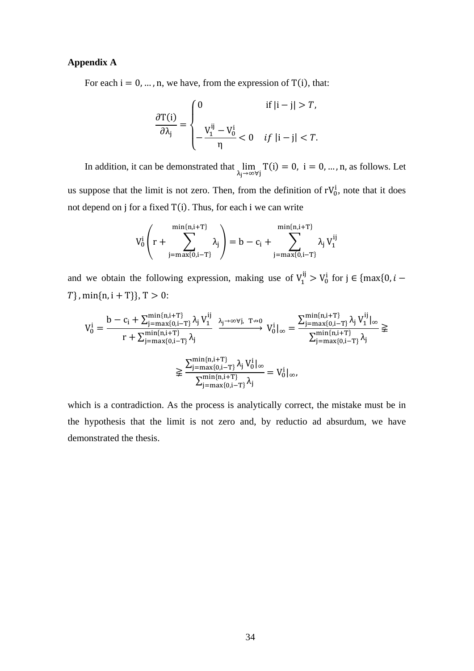#### **Appendix A**

For each  $i = 0, ..., n$ , we have, from the expression of T(i), that:

$$
\frac{\partial T(i)}{\partial \lambda_j} = \begin{cases} 0 & \text{if } |i - j| > T, \\ -\frac{V_1^{ij} - V_0^i}{\eta} < 0 & \text{if } |i - j| < T. \end{cases}
$$

In addition, it can be demonstrated that  $\lim_{h \to 0}$ λ<sub>j</sub>→∞∀j  $T(i) = 0$ ,  $i = 0, ..., n$ , as follows. Let us suppose that the limit is not zero. Then, from the definition of  $rV_0^i$ , note that it does not depend on j for a fixed  $T(i)$ . Thus, for each i we can write

$$
V_0^i \left( r + \sum_{j=\max\{0,i-T\}}^{\min\{n,i+T\}} \lambda_j \right) = b - c_i + \sum_{j=\max\{0,i-T\}}^{\min\{n,i+T\}} \lambda_j V_1^{ij}
$$

and we obtain the following expression, making use of  $V_1^{ij} > V_0^i$  for  $j \in \{max\{0, i - \}$  $T\}$ , min{n, i + T}}, T > 0:

$$
V_0^i = \frac{b - c_i + \sum_{j=\max\{0,i-T\}}^{\min\{n,i+T\}} \lambda_j \, V_1^{ij}}{r + \sum_{j=\max\{0,i-T\}}^{\min\{n,i+T\}} \lambda_j} \underbrace{\lambda_j \rightarrow \infty \forall j, \ T \nrightarrow 0}_{\text{$\forall j \mid \infty$}} V_0^i|_{\infty} = \frac{\sum_{j=\max\{0,i-T\}}^{\min\{n,i+T\}} \lambda_j \, V_1^{ij}|_{\infty}}{\sum_{j=\max\{0,i-T\}}^{\min\{n,i+T\}} \lambda_j} \geqslant \\ \geqslant \frac{\sum_{j=\max\{0,i-T\}}^{\min\{n,i+T\}} \lambda_j \, V_0^i|_{\infty}}{\sum_{j=\max\{0,i-T\}}^{\min\{n,i+T\}} \lambda_j} = V_0^i|_{\infty},
$$

which is a contradiction. As the process is analytically correct, the mistake must be in the hypothesis that the limit is not zero and, by reductio ad absurdum, we have demonstrated the thesis.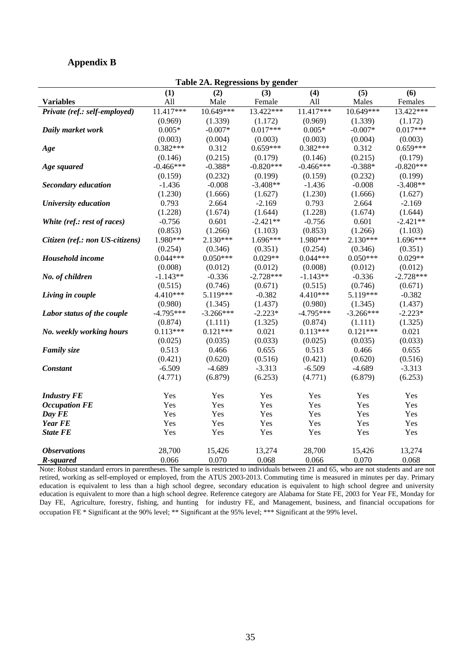#### **Appendix B**

| Table 2A. Regressions by gender |             |             |             |             |             |             |  |  |  |  |
|---------------------------------|-------------|-------------|-------------|-------------|-------------|-------------|--|--|--|--|
|                                 | (1)         | (2)         | (3)         | (4)         | (5)         | (6)         |  |  |  |  |
| <b>Variables</b>                | All         | Male        | Female      | All         | Males       | Females     |  |  |  |  |
| Private (ref.: self-employed)   | 11.417***   | 10.649***   | 13.422***   | 11.417***   | 10.649***   | 13.422***   |  |  |  |  |
|                                 | (0.969)     | (1.339)     | (1.172)     | (0.969)     | (1.339)     | (1.172)     |  |  |  |  |
| Daily market work               | $0.005*$    | $-0.007*$   | $0.017***$  | $0.005*$    | $-0.007*$   | $0.017***$  |  |  |  |  |
|                                 | (0.003)     | (0.004)     | (0.003)     | (0.003)     | (0.004)     | (0.003)     |  |  |  |  |
| Age                             | $0.382***$  | 0.312       | $0.659***$  | $0.382***$  | 0.312       | $0.659***$  |  |  |  |  |
|                                 | (0.146)     | (0.215)     | (0.179)     | (0.146)     | (0.215)     | (0.179)     |  |  |  |  |
| Age squared                     | $-0.466***$ | $-0.388*$   | $-0.820***$ | $-0.466***$ | $-0.388*$   | $-0.820***$ |  |  |  |  |
|                                 | (0.159)     | (0.232)     | (0.199)     | (0.159)     | (0.232)     | (0.199)     |  |  |  |  |
| <b>Secondary education</b>      | $-1.436$    | $-0.008$    | $-3.408**$  | $-1.436$    | $-0.008$    | $-3.408**$  |  |  |  |  |
|                                 | (1.230)     | (1.666)     | (1.627)     | (1.230)     | (1.666)     | (1.627)     |  |  |  |  |
| University education            | 0.793       | 2.664       | $-2.169$    | 0.793       | 2.664       | $-2.169$    |  |  |  |  |
|                                 | (1.228)     | (1.674)     | (1.644)     | (1.228)     | (1.674)     | (1.644)     |  |  |  |  |
| White (ref.: rest of races)     | $-0.756$    | 0.601       | $-2.421**$  | $-0.756$    | 0.601       | $-2.421**$  |  |  |  |  |
|                                 | (0.853)     | (1.266)     | (1.103)     | (0.853)     | (1.266)     | (1.103)     |  |  |  |  |
| Citizen (ref.: non US-citizens) | 1.980***    | 2.130***    | 1.696***    | 1.980***    | 2.130***    | 1.696***    |  |  |  |  |
|                                 | (0.254)     | (0.346)     | (0.351)     | (0.254)     | (0.346)     | (0.351)     |  |  |  |  |
| Household income                | $0.044***$  | $0.050***$  | $0.029**$   | $0.044***$  | $0.050***$  | $0.029**$   |  |  |  |  |
|                                 | (0.008)     | (0.012)     | (0.012)     | (0.008)     | (0.012)     | (0.012)     |  |  |  |  |
| No. of children                 | $-1.143**$  | $-0.336$    | $-2.728***$ | $-1.143**$  | $-0.336$    | $-2.728***$ |  |  |  |  |
|                                 | (0.515)     | (0.746)     | (0.671)     | (0.515)     | (0.746)     | (0.671)     |  |  |  |  |
| Living in couple                | 4.410***    | 5.119***    | $-0.382$    | 4.410***    | 5.119***    | $-0.382$    |  |  |  |  |
|                                 | (0.980)     | (1.345)     | (1.437)     | (0.980)     | (1.345)     | (1.437)     |  |  |  |  |
| Labor status of the couple      | $-4.795***$ | $-3.266***$ | $-2.223*$   | $-4.795***$ | $-3.266***$ | $-2.223*$   |  |  |  |  |
|                                 | (0.874)     | (1.111)     | (1.325)     | (0.874)     | (1.111)     | (1.325)     |  |  |  |  |
| No. weekly working hours        | $0.113***$  | $0.121***$  | 0.021       | $0.113***$  | $0.121***$  | 0.021       |  |  |  |  |
|                                 | (0.025)     | (0.035)     | (0.033)     | (0.025)     | (0.035)     | (0.033)     |  |  |  |  |
| <b>Family</b> size              | 0.513       | 0.466       | 0.655       | 0.513       | 0.466       | 0.655       |  |  |  |  |
|                                 | (0.421)     | (0.620)     | (0.516)     | (0.421)     | (0.620)     | (0.516)     |  |  |  |  |
| <b>Constant</b>                 | $-6.509$    | $-4.689$    | $-3.313$    | $-6.509$    | $-4.689$    | $-3.313$    |  |  |  |  |
|                                 | (4.771)     | (6.879)     | (6.253)     | (4.771)     | (6.879)     | (6.253)     |  |  |  |  |
| <b>Industry FE</b>              | Yes         | Yes         | Yes         | Yes         | Yes         | Yes         |  |  |  |  |
| <b>Occupation FE</b>            | Yes         | Yes         | Yes         | Yes         | Yes         | Yes         |  |  |  |  |
| Day FE                          | Yes         | Yes         | Yes         | Yes         | Yes         | Yes         |  |  |  |  |
| <b>Year FE</b>                  | Yes         | Yes         | Yes         | Yes         | Yes         | Yes         |  |  |  |  |
| <b>State FE</b>                 | Yes         | Yes         | Yes         | Yes         | Yes         | Yes         |  |  |  |  |
| <b>Observations</b>             | 28,700      | 15,426      | 13,274      | 28,700      | 15,426      | 13,274      |  |  |  |  |
| R-squared                       | 0.066       | 0.070       | 0.068       | 0.066       | 0.070       | 0.068       |  |  |  |  |

Note: Robust standard errors in parentheses. The sample is restricted to individuals between 21 and 65, who are not students and are not retired, working as self-employed or employed, from the ATUS 2003-2013. Commuting time is measured in minutes per day. Primary education is equivalent to less than a high school degree, secondary education is equivalent to high school degree and university education is equivalent to more than a high school degree. Reference category are Alabama for State FE, 2003 for Year FE, Monday for Day FE, Agriculture, forestry, fishing, and hunting for industry FE, and Management, business, and financial occupations for occupation FE \* Significant at the 90% level; \*\* Significant at the 95% level; \*\*\* Significant at the 99% level.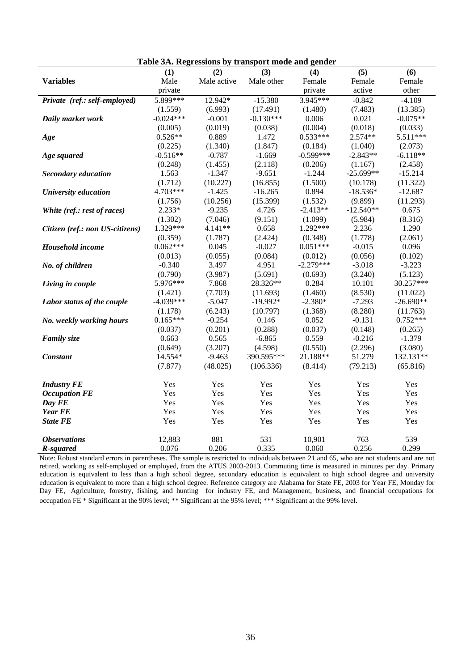| raoic эти кедгезябня бу и анярогі шойстани денист |             |                                |             |             |                  |             |  |  |  |  |
|---------------------------------------------------|-------------|--------------------------------|-------------|-------------|------------------|-------------|--|--|--|--|
|                                                   | (1)         | (2)                            | (3)         | (4)         | $\overline{(5)}$ | (6)         |  |  |  |  |
| <b>Variables</b>                                  | Male        | Male active                    | Male other  | Female      | Female           | Female      |  |  |  |  |
|                                                   | private     |                                |             | private     | active           | other       |  |  |  |  |
| Private (ref.: self-employed)                     | 5.899***    | 12.942*                        | $-15.380$   | 3.945***    | $-0.842$         | $-4.109$    |  |  |  |  |
|                                                   |             | (1.559)<br>(6.993)<br>(17.491) |             | (1.480)     | (7.483)          | (13.385)    |  |  |  |  |
| Daily market work                                 | $-0.024***$ | $-0.001$                       | $-0.130***$ | 0.006       | 0.021            | $-0.075**$  |  |  |  |  |
|                                                   | (0.005)     | (0.019)                        | (0.038)     | (0.004)     | (0.018)          | (0.033)     |  |  |  |  |
| Age                                               | $0.526**$   | 0.889                          | 1.472       | $0.533***$  | $2.574**$        | 5.511***    |  |  |  |  |
|                                                   | (0.225)     | (1.340)                        | (1.847)     | (0.184)     | (1.040)          | (2.073)     |  |  |  |  |
| Age squared                                       | $-0.516**$  | $-0.787$                       | $-1.669$    | $-0.599***$ | $-2.843**$       | $-6.118**$  |  |  |  |  |
|                                                   | (0.248)     | (1.455)                        | (2.118)     | (0.206)     | (1.167)          | (2.458)     |  |  |  |  |
| <b>Secondary education</b>                        | 1.563       | $-1.347$                       | $-9.651$    | $-1.244$    | $-25.699**$      | $-15.214$   |  |  |  |  |
|                                                   | (1.712)     | (10.227)                       | (16.855)    | (1.500)     | (10.178)         | (11.322)    |  |  |  |  |
| University education                              | 4.703***    | $-1.425$                       | $-16.265$   | 0.894       | $-18.536*$       | $-12.687$   |  |  |  |  |
|                                                   | (1.756)     | (10.256)                       | (15.399)    | (1.532)     | (9.899)          | (11.293)    |  |  |  |  |
| White (ref.: rest of races)                       | $2.233*$    | $-9.235$                       | 4.726       | $-2.413**$  | $-12.540**$      | 0.675       |  |  |  |  |
|                                                   | (1.302)     | (7.046)                        | (9.151)     | (1.099)     | (5.984)          | (8.316)     |  |  |  |  |
| Citizen (ref.: non US-citizens)                   | 1.329***    | 4.141**                        | 0.658       | $1.292***$  | 2.236            | 1.290       |  |  |  |  |
|                                                   | (0.359)     | (1.787)                        | (2.424)     | (0.348)     | (1.778)          | (2.061)     |  |  |  |  |
| Household income                                  | $0.062***$  | 0.045                          | $-0.027$    | $0.051***$  | $-0.015$         | 0.096       |  |  |  |  |
|                                                   | (0.013)     | (0.055)                        | (0.084)     | (0.012)     | (0.056)          | (0.102)     |  |  |  |  |
| No. of children                                   | $-0.340$    | 3.497                          | 4.951       | $-2.279***$ | $-3.018$         | $-3.223$    |  |  |  |  |
|                                                   | (0.790)     | (3.987)                        | (5.691)     | (0.693)     | (3.240)          | (5.123)     |  |  |  |  |
| Living in couple                                  | 5.976***    | 7.868                          | 28.326**    | 0.284       | 10.101           | 30.257***   |  |  |  |  |
|                                                   | (1.421)     | (7.703)                        | (11.693)    | (1.460)     | (8.530)          | (11.022)    |  |  |  |  |
| Labor status of the couple                        | $-4.039***$ | $-5.047$                       | $-19.992*$  | $-2.380*$   | $-7.293$         | $-26.690**$ |  |  |  |  |
|                                                   | (1.178)     | (6.243)                        | (10.797)    | (1.368)     | (8.280)          | (11.763)    |  |  |  |  |
| No. weekly working hours                          | $0.165***$  | $-0.254$                       | 0.146       | 0.052       | $-0.131$         | $0.752***$  |  |  |  |  |
|                                                   | (0.037)     | (0.201)                        | (0.288)     | (0.037)     | (0.148)          | (0.265)     |  |  |  |  |
| <b>Family size</b>                                | 0.663       | 0.565                          | $-6.865$    | 0.559       | $-0.216$         | $-1.379$    |  |  |  |  |
|                                                   | (0.649)     | (3.207)                        | (4.598)     | (0.550)     | (2.296)          | (3.080)     |  |  |  |  |
| <b>Constant</b>                                   | 14.554*     | $-9.463$                       | 390.595***  | 21.188**    | 51.279           | 132.131**   |  |  |  |  |
|                                                   | (7.877)     | (48.025)                       | (106.336)   | (8.414)     | (79.213)         | (65.816)    |  |  |  |  |
|                                                   |             |                                |             |             |                  |             |  |  |  |  |
| <b>Industry FE</b>                                | Yes         | Yes                            | Yes         | Yes         | Yes              | Yes         |  |  |  |  |
| <b>Occupation FE</b>                              | Yes         | Yes                            | Yes         | Yes         | Yes              | Yes         |  |  |  |  |
| Day FE                                            | Yes         | Yes                            | Yes         | Yes         | Yes              | Yes         |  |  |  |  |
| <b>Year FE</b>                                    | Yes         | Yes                            | Yes         | Yes         | Yes              | Yes         |  |  |  |  |
| <b>State FE</b>                                   | Yes         | Yes                            | Yes         | Yes         | Yes              | Yes         |  |  |  |  |
|                                                   |             |                                |             |             |                  |             |  |  |  |  |
| <b>Observations</b>                               | 12,883      | 881                            | 531         | 10,901      | 763              | 539         |  |  |  |  |
| R-squared                                         | 0.076       | 0.206                          | 0.335       | 0.060       | 0.256            | 0.299       |  |  |  |  |
|                                                   |             |                                |             |             |                  |             |  |  |  |  |

**Table 3A. Regressions by transport mode and gender** 

Note: Robust standard errors in parentheses. The sample is restricted to individuals between 21 and 65, who are not students and are not retired, working as self-employed or employed, from the ATUS 2003-2013. Commuting time is measured in minutes per day. Primary education is equivalent to less than a high school degree, secondary education is equivalent to high school degree and university education is equivalent to more than a high school degree. Reference category are Alabama for State FE, 2003 for Year FE, Monday for Day FE, Agriculture, forestry, fishing, and hunting for industry FE, and Management, business, and financial occupations for occupation FE \* Significant at the 90% level; \*\* Significant at the 95% level; \*\*\* Significant at the 99% level.